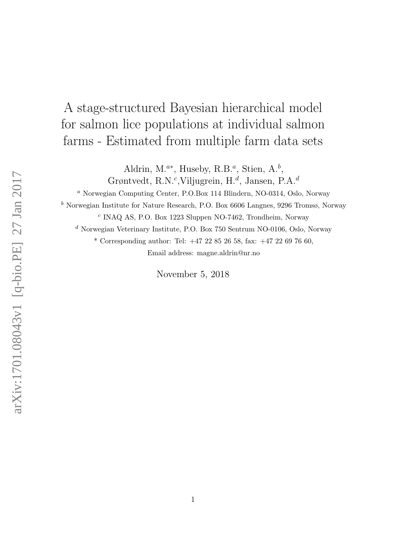# A stage-structured Bayesian hierarchical model for salmon lice populations at individual salmon farms - Estimated from multiple farm data sets

Aldrin, M.<sup> $a^*$ </sup>, Huseby, R.B.<sup> $a$ </sup>, Stien, A.<sup>b</sup>, Grøntvedt, R.N.<sup>c</sup>, Viljugrein, H.<sup>d</sup>, Jansen, P.A.<sup>d</sup>

<sup>a</sup> Norwegian Computing Center, P.O.Box 114 Blindern, NO-0314, Oslo, Norway

 $<sup>b</sup>$  Norwegian Institute for Nature Research, P.O. Box 6606 Langnes, 9296 Tromsø, Norway</sup>

c INAQ AS, P.O. Box 1223 Sluppen NO-7462, Trondheim, Norway

<sup>d</sup> Norwegian Veterinary Institute, P.O. Box 750 Sentrum NO-0106, Oslo, Norway

\* Corresponding author: Tel: +47 22 85 26 58, fax: +47 22 69 76 60, Email address: magne.aldrin@nr.no

November 5, 2018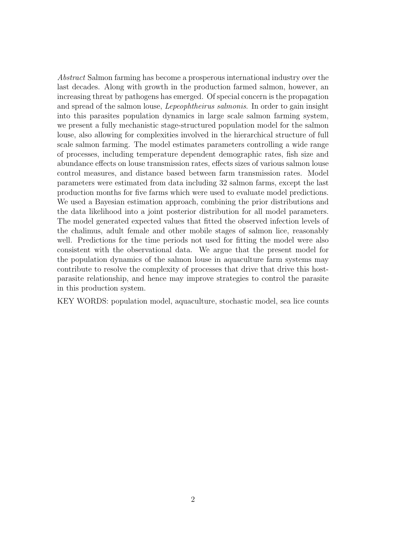Abstract Salmon farming has become a prosperous international industry over the last decades. Along with growth in the production farmed salmon, however, an increasing threat by pathogens has emerged. Of special concern is the propagation and spread of the salmon louse, Lepeophtheirus salmonis. In order to gain insight into this parasites population dynamics in large scale salmon farming system, we present a fully mechanistic stage-structured population model for the salmon louse, also allowing for complexities involved in the hierarchical structure of full scale salmon farming. The model estimates parameters controlling a wide range of processes, including temperature dependent demographic rates, fish size and abundance effects on louse transmission rates, effects sizes of various salmon louse control measures, and distance based between farm transmission rates. Model parameters were estimated from data including 32 salmon farms, except the last production months for five farms which were used to evaluate model predictions. We used a Bayesian estimation approach, combining the prior distributions and the data likelihood into a joint posterior distribution for all model parameters. The model generated expected values that fitted the observed infection levels of the chalimus, adult female and other mobile stages of salmon lice, reasonably well. Predictions for the time periods not used for fitting the model were also consistent with the observational data. We argue that the present model for the population dynamics of the salmon louse in aquaculture farm systems may contribute to resolve the complexity of processes that drive that drive this hostparasite relationship, and hence may improve strategies to control the parasite in this production system.

KEY WORDS: population model, aquaculture, stochastic model, sea lice counts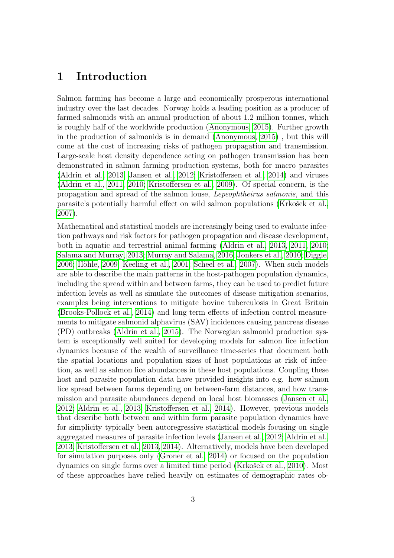# 1 Introduction

Salmon farming has become a large and economically prosperous international industry over the last decades. Norway holds a leading position as a producer of farmed salmonids with an annual production of about 1.2 million tonnes, which is roughly half of the worldwide production [\(Anonymous, 2015\)](#page-35-0). Further growth in the production of salmonids is in demand [\(Anonymous, 2015\)](#page-35-0) , but this will come at the cost of increasing risks of pathogen propagation and transmission. Large-scale host density dependence acting on pathogen transmission has been demonstrated in salmon farming production systems, both for macro parasites [\(Aldrin et al., 2013;](#page-35-1) [Jansen et al., 2012;](#page-36-0) [Kristoffersen et al., 2014\)](#page-37-0) and viruses [\(Aldrin et al., 2011,](#page-35-2) [2010;](#page-35-3) [Kristoffersen et al., 2009\)](#page-37-1). Of special concern, is the propagation and spread of the salmon louse, Lepeophtheirus salmonis, and this parasite's potentially harmful effect on wild salmon populations (Krkošek et al., [2007\)](#page-37-2).

Mathematical and statistical models are increasingly being used to evaluate infection pathways and risk factors for pathogen propagation and disease development, both in aquatic and terrestrial animal farming [\(Aldrin et al., 2013,](#page-35-1) [2011,](#page-35-2) [2010;](#page-35-3) [Salama and Murray, 2013;](#page-38-0) [Murray and Salama, 2016;](#page-37-3) [Jonkers et al., 2010;](#page-36-1) [Diggle,](#page-35-4)  $2006$ ; Höhle,  $2009$ ; Keeling et al.,  $2001$ ; Scheel et al.,  $2007$ ). When such models are able to describe the main patterns in the host-pathogen population dynamics, including the spread within and between farms, they can be used to predict future infection levels as well as simulate the outcomes of disease mitigation scenarios, examples being interventions to mitigate bovine tuberculosis in Great Britain [\(Brooks-Pollock et al., 2014\)](#page-35-5) and long term effects of infection control measurements to mitigate salmonid alphavirus (SAV) incidences causing pancreas disease (PD) outbreaks [\(Aldrin et al., 2015\)](#page-35-6). The Norwegian salmonid production system is exceptionally well suited for developing models for salmon lice infection dynamics because of the wealth of surveillance time-series that document both the spatial locations and population sizes of host populations at risk of infection, as well as salmon lice abundances in these host populations. Coupling these host and parasite population data have provided insights into e.g. how salmon lice spread between farms depending on between-farm distances, and how transmission and parasite abundances depend on local host biomasses [\(Jansen et al.,](#page-36-0) [2012;](#page-36-0) [Aldrin et al., 2013;](#page-35-1) [Kristoffersen et al., 2014\)](#page-37-0). However, previous models that describe both between and within farm parasite population dynamics have for simplicity typically been autoregressive statistical models focusing on single aggregated measures of parasite infection levels [\(Jansen et al., 2012;](#page-36-0) [Aldrin et al.,](#page-35-1) [2013;](#page-35-1) [Kristoffersen et al., 2013,](#page-37-4) [2014\)](#page-37-0). Alternatively, models have been developed for simulation purposes only [\(Groner et al., 2014\)](#page-36-4) or focused on the population dynamics on single farms over a limited time period (Krkošek et al., 2010). Most of these approaches have relied heavily on estimates of demographic rates ob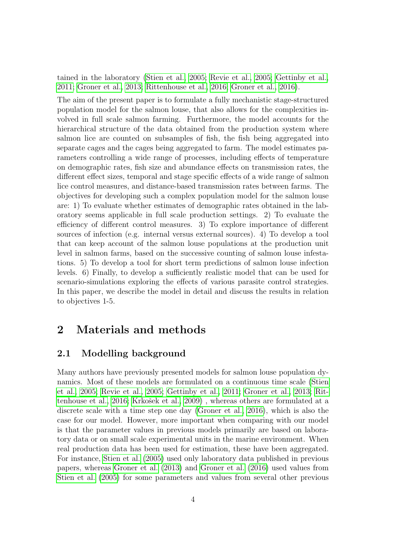tained in the laboratory [\(Stien et al., 2005;](#page-38-2) [Revie et al., 2005;](#page-37-6) [Gettinby et al.,](#page-36-5) [2011;](#page-36-5) [Groner et al., 2013;](#page-36-6) [Rittenhouse et al., 2016;](#page-38-3) [Groner et al., 2016\)](#page-36-7).

The aim of the present paper is to formulate a fully mechanistic stage-structured population model for the salmon louse, that also allows for the complexities involved in full scale salmon farming. Furthermore, the model accounts for the hierarchical structure of the data obtained from the production system where salmon lice are counted on subsamples of fish, the fish being aggregated into separate cages and the cages being aggregated to farm. The model estimates parameters controlling a wide range of processes, including effects of temperature on demographic rates, fish size and abundance effects on transmission rates, the different effect sizes, temporal and stage specific effects of a wide range of salmon lice control measures, and distance-based transmission rates between farms. The objectives for developing such a complex population model for the salmon louse are: 1) To evaluate whether estimates of demographic rates obtained in the laboratory seems applicable in full scale production settings. 2) To evaluate the efficiency of different control measures. 3) To explore importance of different sources of infection (e.g. internal versus external sources). 4) To develop a tool that can keep account of the salmon louse populations at the production unit level in salmon farms, based on the successive counting of salmon louse infestations. 5) To develop a tool for short term predictions of salmon louse infection levels. 6) Finally, to develop a sufficiently realistic model that can be used for scenario-simulations exploring the effects of various parasite control strategies. In this paper, we describe the model in detail and discuss the results in relation to objectives 1-5.

# 2 Materials and methods

# <span id="page-3-0"></span>2.1 Modelling background

Many authors have previously presented models for salmon louse population dynamics. Most of these models are formulated on a continuous time scale [\(Stien](#page-38-2) [et al., 2005;](#page-38-2) [Revie et al., 2005;](#page-37-6) [Gettinby et al., 2011;](#page-36-5) [Groner et al., 2013;](#page-36-6) [Rit](#page-38-3)[tenhouse et al., 2016;](#page-38-3) Krkošek et al., 2009), whereas others are formulated at a discrete scale with a time step one day [\(Groner et al., 2016\)](#page-36-7), which is also the case for our model. However, more important when comparing with our model is that the parameter values in previous models primarily are based on laboratory data or on small scale experimental units in the marine environment. When real production data has been used for estimation, these have been aggregated. For instance, [Stien et al. \(2005\)](#page-38-2) used only laboratory data published in previous papers, whereas [Groner et al. \(2013\)](#page-36-6) and [Groner et al. \(2016\)](#page-36-7) used values from [Stien et al. \(2005\)](#page-38-2) for some parameters and values from several other previous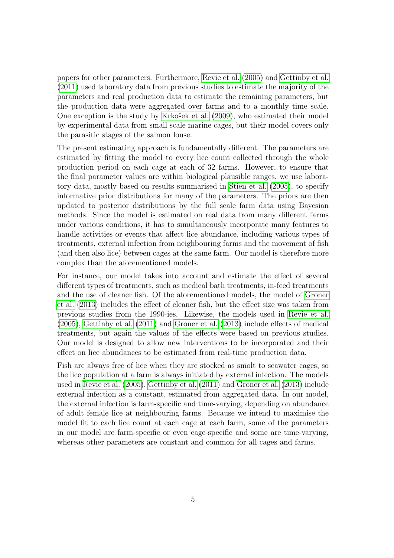papers for other parameters. Furthermore, [Revie et al. \(2005\)](#page-37-6) and [Gettinby et al.](#page-36-5) [\(2011\)](#page-36-5) used laboratory data from previous studies to estimate the majority of the parameters and real production data to estimate the remaining parameters, but the production data were aggregated over farms and to a monthly time scale. One exception is the study by Krkošek et al. (2009), who estimated their model by experimental data from small scale marine cages, but their model covers only the parasitic stages of the salmon louse.

The present estimating approach is fundamentally different. The parameters are estimated by fitting the model to every lice count collected through the whole production period on each cage at each of 32 farms. However, to ensure that the final parameter values are within biological plausible ranges, we use laboratory data, mostly based on results summarised in [Stien et al. \(2005\)](#page-38-2), to specify informative prior distributions for many of the parameters. The priors are then updated to posterior distributions by the full scale farm data using Bayesian methods. Since the model is estimated on real data from many different farms under various conditions, it has to simultaneously incorporate many features to handle activities or events that affect lice abundance, including various types of treatments, external infection from neighbouring farms and the movement of fish (and then also lice) between cages at the same farm. Our model is therefore more complex than the aforementioned models.

For instance, our model takes into account and estimate the effect of several different types of treatments, such as medical bath treatments, in-feed treatments and the use of cleaner fish. Of the aforementioned models, the model of [Groner](#page-36-6) [et al. \(2013\)](#page-36-6) includes the effect of cleaner fish, but the effect size was taken from previous studies from the 1990-ies. Likewise, the models used in [Revie et al.](#page-37-6) [\(2005\)](#page-37-6), [Gettinby et al. \(2011\)](#page-36-5) and [Groner et al. \(2013\)](#page-36-6) include effects of medical treatments, but again the values of the effects were based on previous studies. Our model is designed to allow new interventions to be incorporated and their effect on lice abundances to be estimated from real-time production data.

Fish are always free of lice when they are stocked as smolt to seawater cages, so the lice population at a farm is always initiated by external infection. The models used in [Revie et al. \(2005\)](#page-37-6), [Gettinby et al. \(2011\)](#page-36-5) and [Groner et al. \(2013\)](#page-36-6) include external infection as a constant, estimated from aggregated data. In our model, the external infection is farm-specific and time-varying, depending on abundance of adult female lice at neighbouring farms. Because we intend to maximise the model fit to each lice count at each cage at each farm, some of the parameters in our model are farm-specific or even cage-specific and some are time-varying, whereas other parameters are constant and common for all cages and farms.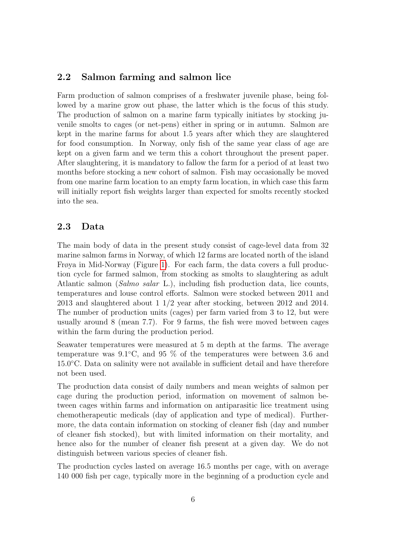### 2.2 Salmon farming and salmon lice

Farm production of salmon comprises of a freshwater juvenile phase, being followed by a marine grow out phase, the latter which is the focus of this study. The production of salmon on a marine farm typically initiates by stocking juvenile smolts to cages (or net-pens) either in spring or in autumn. Salmon are kept in the marine farms for about 1.5 years after which they are slaughtered for food consumption. In Norway, only fish of the same year class of age are kept on a given farm and we term this a cohort throughout the present paper. After slaughtering, it is mandatory to fallow the farm for a period of at least two months before stocking a new cohort of salmon. Fish may occasionally be moved from one marine farm location to an empty farm location, in which case this farm will initially report fish weights larger than expected for smolts recently stocked into the sea.

### <span id="page-5-0"></span>2.3 Data

The main body of data in the present study consist of cage-level data from 32 marine salmon farms in Norway, of which 12 farms are located north of the island Frøya in Mid-Norway (Figure [1\)](#page-6-0). For each farm, the data covers a full production cycle for farmed salmon, from stocking as smolts to slaughtering as adult Atlantic salmon (Salmo salar L.), including fish production data, lice counts, temperatures and louse control efforts. Salmon were stocked between 2011 and 2013 and slaughtered about 1 1/2 year after stocking, between 2012 and 2014. The number of production units (cages) per farm varied from 3 to 12, but were usually around 8 (mean 7.7). For 9 farms, the fish were moved between cages within the farm during the production period.

Seawater temperatures were measured at 5 m depth at the farms. The average temperature was  $9.1°C$ , and  $95\%$  of the temperatures were between 3.6 and 15.0◦C. Data on salinity were not available in sufficient detail and have therefore not been used.

The production data consist of daily numbers and mean weights of salmon per cage during the production period, information on movement of salmon between cages within farms and information on antiparasitic lice treatment using chemotherapeutic medicals (day of application and type of medical). Furthermore, the data contain information on stocking of cleaner fish (day and number of cleaner fish stocked), but with limited information on their mortality, and hence also for the number of cleaner fish present at a given day. We do not distinguish between various species of cleaner fish.

The production cycles lasted on average 16.5 months per cage, with on average 140 000 fish per cage, typically more in the beginning of a production cycle and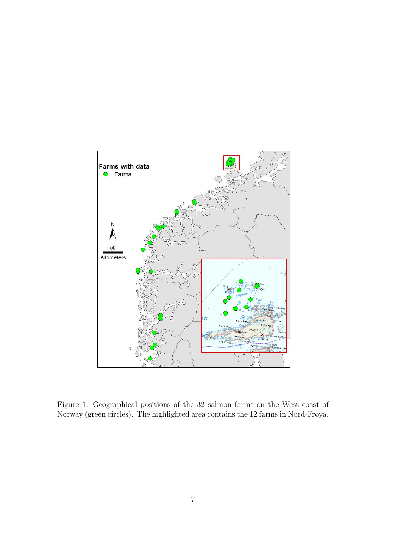

<span id="page-6-0"></span>Figure 1: Geographical positions of the 32 salmon farms on the West coast of Norway (green circles). The highlighted area contains the 12 farms in Nord-Frøya.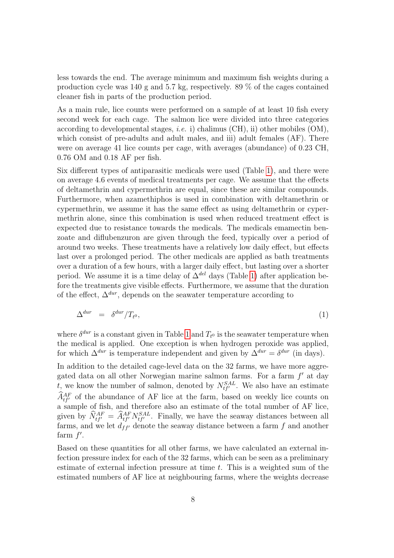less towards the end. The average minimum and maximum fish weights during a production cycle was 140 g and 5.7 kg, respectively. 89 % of the cages contained cleaner fish in parts of the production period.

As a main rule, lice counts were performed on a sample of at least 10 fish every second week for each cage. The salmon lice were divided into three categories according to developmental stages, *i.e.* i) chalimus  $(CH)$ , ii) other mobiles  $(OM)$ , which consist of pre-adults and adult males, and iii) adult females  $(AF)$ . There were on average 41 lice counts per cage, with averages (abundance) of 0.23 CH, 0.76 OM and 0.18 AF per fish.

Six different types of antiparasitic medicals were used (Table [1\)](#page-8-0), and there were on average 4.6 events of medical treatments per cage. We assume that the effects of deltamethrin and cypermethrin are equal, since these are similar compounds. Furthermore, when azamethiphos is used in combination with deltamethrin or cypermethrin, we assume it has the same effect as using deltamethrin or cypermethrin alone, since this combination is used when reduced treatment effect is expected due to resistance towards the medicals. The medicals emamectin benzoate and diflubenzuron are given through the feed, typically over a period of around two weeks. These treatments have a relatively low daily effect, but effects last over a prolonged period. The other medicals are applied as bath treatments over a duration of a few hours, with a larger daily effect, but lasting over a shorter period. We assume it is a time delay of  $\Delta^{del}$  days (Table [1\)](#page-8-0) after application before the treatments give visible effects. Furthermore, we assume that the duration of the effect,  $\Delta^{dur}$ , depends on the seawater temperature according to

$$
\Delta^{dur} = \delta^{dur} / T_{t^0}, \tag{1}
$$

where  $\delta^{dur}$  is a constant given in Table [1](#page-8-0) and  $T_{t^0}$  is the seawater temperature when the medical is applied. One exception is when hydrogen peroxide was applied, for which  $\Delta^{dur}$  is temperature independent and given by  $\Delta^{dur} = \delta^{dur}$  (in days). In addition to the detailed cage-level data on the 32 farms, we have more aggregated data on all other Norwegian marine salmon farms. For a farm  $f'$  at day t, we know the number of salmon, denoted by  $N_{tf}^{SAL}$ . We also have an estimate  $\hat{A}_{tf}^{AF}$  of the abundance of AF lice at the farm, based on weekly lice counts on a sample of fish, and therefore also an estimate of the total number of AF lice, given by  $\hat{N}_{tf}^{AF} = \hat{A}_{tf}^{AF} N_{tf}^{SAL}$ . Finally, we have the seaway distances between all farms, and we let  $d_{ff'}$  denote the seaway distance between a farm f and another farm  $f'$ .

Based on these quantities for all other farms, we have calculated an external infection pressure index for each of the 32 farms, which can be seen as a preliminary estimate of external infection pressure at time t. This is a weighted sum of the estimated numbers of AF lice at neighbouring farms, where the weights decrease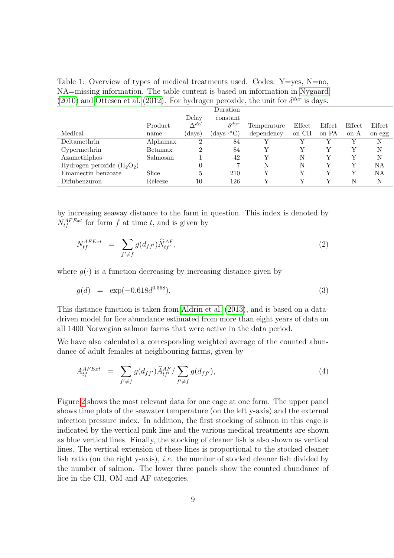<span id="page-8-0"></span>Table 1: Overview of types of medical treatments used. Codes: Y=yes, N=no, NA=missing information. The table content is based on information in [Nygaard](#page-37-8) [\(2010\)](#page-37-8) and [Ottesen et al. \(2012\)](#page-37-9). For hydrogen peroxide, the unit for  $\delta^{dur}$  is days.

|                              |          |                 | Duration                        |             |        |        |        |        |
|------------------------------|----------|-----------------|---------------------------------|-------------|--------|--------|--------|--------|
|                              |          | Delay           | constant                        |             |        |        |        |        |
|                              | Product  | $\Delta^{del}$  | $\delta^{dur}$                  | Temperature | Effect | Effect | Effect | Effect |
| Medical                      | name     | $(\text{days})$ | $(\text{days} \cdot ^{\circ}C)$ | dependency  | on CH  | on PA  | on A   | on egg |
| Deltamethrin                 | Alphamax | $\Omega$        | 84                              |             |        |        |        | Ν      |
| Cypermethrin                 | Betamax  | 2               | 84                              |             |        |        | Y      | N      |
| Azamethiphos                 | Salmosan |                 | 42                              | V           | N      |        | V      | N      |
| Hydrogen peroxide $(H_2O_2)$ |          | 0               | 7                               | N           | Ν      |        | Y      | NA     |
| Emamectin benzoate           | Slice    | 5               | 210                             |             |        |        | V      | ΝA     |
| Diflubenzuron                | Releeze  | 10              | 126                             |             |        |        | Ν      | N      |

by increasing seaway distance to the farm in question. This index is denoted by  $N_{tf}^{AFExt}$  for farm f at time t, and is given by

$$
N_{tf}^{AFExt} = \sum_{f' \neq f} g(d_{ff'}) \widehat{N}_{tf'}^{AF}, \tag{2}
$$

where  $q(\cdot)$  is a function decreasing by increasing distance given by

$$
g(d) = \exp(-0.618d^{0.568}). \tag{3}
$$

This distance function is taken from [Aldrin et al. \(2013\)](#page-35-1), and is based on a datadriven model for lice abundance estimated from more than eight years of data on all 1400 Norwegian salmon farms that were active in the data period.

We have also calculated a corresponding weighted average of the counted abundance of adult females at neighbouring farms, given by

$$
A_{tf}^{AFExt} = \sum_{f' \neq f} g(d_{ff'}) \widehat{A}_{tf'}^{AF} / \sum_{f' \neq f} g(d_{ff'}), \tag{4}
$$

Figure [2](#page-9-0) shows the most relevant data for one cage at one farm. The upper panel shows time plots of the seawater temperature (on the left y-axis) and the external infection pressure index. In addition, the first stocking of salmon in this cage is indicated by the vertical pink line and the various medical treatments are shown as blue vertical lines. Finally, the stocking of cleaner fish is also shown as vertical lines. The vertical extension of these lines is proportional to the stocked cleaner fish ratio (on the right y-axis), i.e. the number of stocked cleaner fish divided by the number of salmon. The lower three panels show the counted abundance of lice in the CH, OM and AF categories.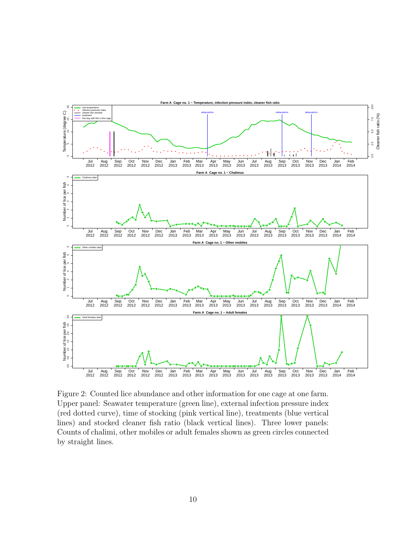

<span id="page-9-0"></span>Figure 2: Counted lice abundance and other information for one cage at one farm. Upper panel: Seawater temperature (green line), external infection pressure index (red dotted curve), time of stocking (pink vertical line), treatments (blue vertical lines) and stocked cleaner fish ratio (black vertical lines). Three lower panels: Counts of chalimi, other mobiles or adult females shown as green circles connected by straight lines.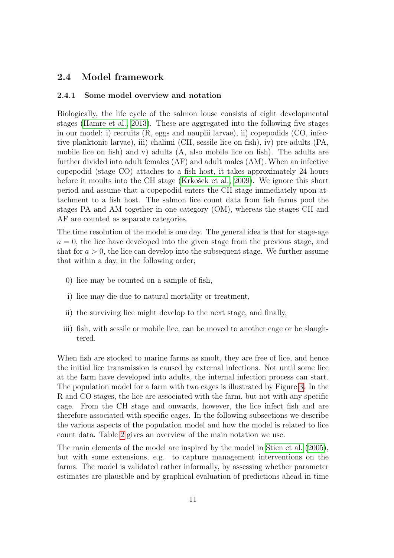## 2.4 Model framework

#### 2.4.1 Some model overview and notation

Biologically, the life cycle of the salmon louse consists of eight developmental stages [\(Hamre et al., 2013\)](#page-36-8). These are aggregated into the following five stages in our model: i) recruits (R, eggs and nauplii larvae), ii) copepodids (CO, infective planktonic larvae), iii) chalimi (CH, sessile lice on fish), iv) pre-adults (PA, mobile lice on fish) and v) adults (A, also mobile lice on fish). The adults are further divided into adult females (AF) and adult males (AM). When an infective copepodid (stage CO) attaches to a fish host, it takes approximately 24 hours before it moults into the CH stage (Krkošek et al., 2009). We ignore this short period and assume that a copepodid enters the CH stage immediately upon attachment to a fish host. The salmon lice count data from fish farms pool the stages PA and AM together in one category (OM), whereas the stages CH and AF are counted as separate categories.

The time resolution of the model is one day. The general idea is that for stage-age  $a = 0$ , the lice have developed into the given stage from the previous stage, and that for  $a > 0$ , the lice can develop into the subsequent stage. We further assume that within a day, in the following order;

- 0) lice may be counted on a sample of fish,
- i) lice may die due to natural mortality or treatment,
- ii) the surviving lice might develop to the next stage, and finally,
- iii) fish, with sessile or mobile lice, can be moved to another cage or be slaughtered.

When fish are stocked to marine farms as smolt, they are free of lice, and hence the initial lice transmission is caused by external infections. Not until some lice at the farm have developed into adults, the internal infection process can start. The population model for a farm with two cages is illustrated by Figure [3.](#page-11-0) In the R and CO stages, the lice are associated with the farm, but not with any specific cage. From the CH stage and onwards, however, the lice infect fish and are therefore associated with specific cages. In the following subsections we describe the various aspects of the population model and how the model is related to lice count data. Table [2](#page-12-0) gives an overview of the main notation we use.

The main elements of the model are inspired by the model in [Stien et al. \(2005\)](#page-38-2), but with some extensions, e.g. to capture management interventions on the farms. The model is validated rather informally, by assessing whether parameter estimates are plausible and by graphical evaluation of predictions ahead in time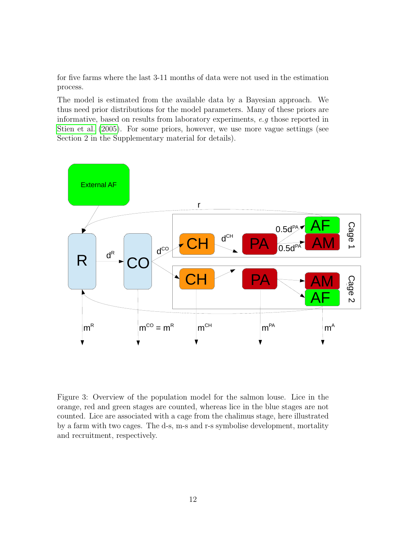for five farms where the last 3-11 months of data were not used in the estimation process.

The model is estimated from the available data by a Bayesian approach. We thus need prior distributions for the model parameters. Many of these priors are informative, based on results from laboratory experiments, e.g those reported in [Stien et al. \(2005\)](#page-38-2). For some priors, however, we use more vague settings (see Section 2 in the Supplementary material for details).



<span id="page-11-0"></span>Figure 3: Overview of the population model for the salmon louse. Lice in the orange, red and green stages are counted, whereas lice in the blue stages are not counted. Lice are associated with a cage from the chalimus stage, here illustrated by a farm with two cages. The d-s, m-s and r-s symbolise development, mortality and recruitment, respectively.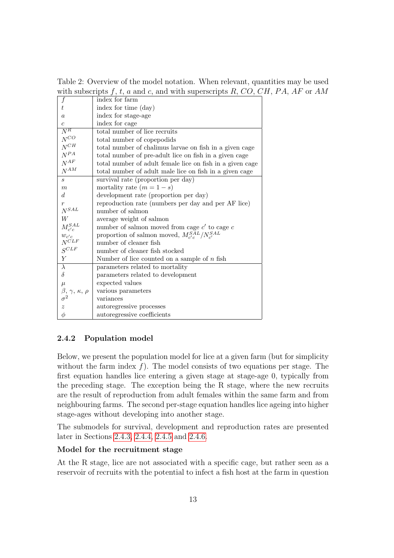<span id="page-12-0"></span>Table 2: Overview of the model notation. When relevant, quantities may be used with subscripts f, t, a and c, and with superscripts  $R$ ,  $CO$ ,  $CH$ ,  $PA$ ,  $AF$  or  $AM$ 

| $\boldsymbol{f}$                                        | index for farm                                            |
|---------------------------------------------------------|-----------------------------------------------------------|
| t                                                       | index for time (day)                                      |
| $\boldsymbol{a}$                                        | index for stage-age                                       |
| $\overline{c}$                                          | index for cage                                            |
| $\bar{N^R}$                                             | total number of lice recruits                             |
| $N^{CO}$                                                | total number of copepodids                                |
| $N^{CH}$                                                | total number of chalimus larvae on fish in a given cage   |
| $N^{PA}$                                                | total number of pre-adult lice on fish in a given cage    |
| $N^{\cal AF}$                                           | total number of adult female lice on fish in a given cage |
| $N^{AM}$                                                | total number of adult male lice on fish in a given cage   |
| S                                                       | survival rate (proportion per day)                        |
| $\boldsymbol{m}$                                        | mortality rate $(m = 1 - s)$                              |
| d                                                       | development rate (proportion per day)                     |
| $\boldsymbol{r}$                                        | reproduction rate (numbers per day and per AF lice)       |
| ${\cal N}^{SAL}$                                        | number of salmon                                          |
| W                                                       | average weight of salmon                                  |
| $M_{c^{\prime}c}^{SAL}$                                 | number of salmon moved from cage $c'$ to cage $c$         |
| $w_{c'c}$                                               | proportion of salmon moved, $M_{c'c}^{SAL}/N_{c'}^{SAL}$  |
| $N^{CLF}$                                               | number of cleaner fish                                    |
| $S^{CLF}$                                               | number of cleaner fish stocked                            |
| Υ                                                       | Number of lice counted on a sample of $n$ fish            |
| $\lambda$                                               | parameters related to mortality                           |
| $\delta$                                                | parameters related to development                         |
| $\mu$                                                   | expected values                                           |
| $\frac{\beta, \, \gamma, \, \kappa, \, \rho}{\sigma^2}$ | various parameters                                        |
|                                                         | variances                                                 |
| $\boldsymbol{z}$                                        | autoregressive processes                                  |
| $\phi$                                                  | autoregressive coefficients                               |

### 2.4.2 Population model

Below, we present the population model for lice at a given farm (but for simplicity without the farm index  $f$ ). The model consists of two equations per stage. The first equation handles lice entering a given stage at stage-age 0, typically from the preceding stage. The exception being the R stage, where the new recruits are the result of reproduction from adult females within the same farm and from neighbouring farms. The second per-stage equation handles lice ageing into higher stage-ages without developing into another stage.

The submodels for survival, development and reproduction rates are presented later in Sections [2.4.3,](#page-14-0) [2.4.4,](#page-17-0) [2.4.5](#page-18-0) and [2.4.6.](#page-19-0)

#### Model for the recruitment stage

At the R stage, lice are not associated with a specific cage, but rather seen as a reservoir of recruits with the potential to infect a fish host at the farm in question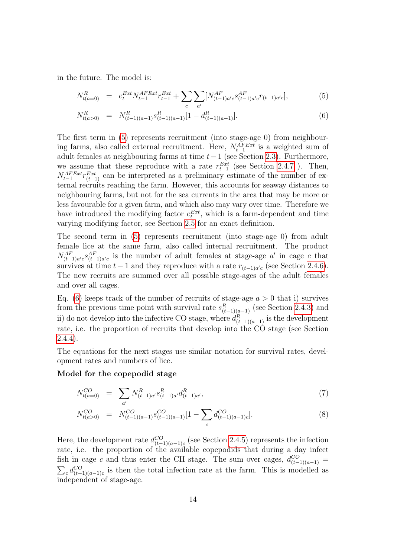in the future. The model is:

<span id="page-13-0"></span>
$$
N_{t(a=0)}^{R} = e_t^{Ext} N_{t-1}^{AFExt} r_{t-1}^{Ext} + \sum_c \sum_{a'} [N_{(t-1)a'c}^{AF} s_{(t-1)a'c}^{AF} r_{(t-1)a'c}], \qquad (5)
$$

$$
N_{t(a>0)}^R = N_{(t-1)(a-1)}^R s_{(t-1)(a-1)}^R [1 - d_{(t-1)(a-1)}^R]. \tag{6}
$$

The first term in [\(5\)](#page-13-0) represents recruitment (into stage-age 0) from neighbouring farms, also called external recruitment. Here,  $N_{t-1}^{AFExt}$  is a weighted sum of adult females at neighbouring farms at time  $t-1$  (see Section [2.3\)](#page-5-0). Furthermore, we assume that these reproduce with a rate  $r_{t-1}^{Ext}$  (see Section [2.4.7](#page-20-0)). Then,  $N_{t-1}^{AFExt}r_{(t-1)}^{Ext}$  can be interpreted as a preliminary estimate of the number of external recruits reaching the farm. However, this accounts for seaway distances to neighbouring farms, but not for the sea currents in the area that may be more or less favourable for a given farm, and which also may vary over time. Therefore we have introduced the modifying factor  $e_t^{Ext}$ , which is a farm-dependent and time varying modifying factor, see Section [2.5](#page-20-1) for an exact definition.

The second term in [\(5\)](#page-13-0) represents recruitment (into stage-age 0) from adult female lice at the same farm, also called internal recruitment. The product  $N_{(t-1)a'c}^{AF}$   $s_{(t-1)a'c}^{AF}$  is the number of adult females at stage-age a' in cage c that survives at time  $t - 1$  and they reproduce with a rate  $r_{(t-1)a'c}$  (see Section [2.4.6\)](#page-19-0). The new recruits are summed over all possible stage-ages of the adult females and over all cages.

Eq. [\(6\)](#page-13-0) keeps track of the number of recruits of stage-age  $a > 0$  that i) survives from the previous time point with survival rate  $s_{(t-1)(a-1)}^R$  (see Section [2.4.3\)](#page-14-0) and ii) do not develop into the infective CO stage, where  $d_{(t-1)(a-1)}^R$  is the development rate, i.e. the proportion of recruits that develop into the CO stage (see Section [2.4.4\)](#page-17-0).

The equations for the next stages use similar notation for survival rates, development rates and numbers of lice.

#### Model for the copepodid stage

$$
N_{t(a=0)}^{CO} = \sum_{a'} N_{(t-1)a'}^{R} s_{(t-1)a'}^{R} d_{(t-1)a'}^{R}, \qquad (7)
$$

$$
N_{t(a>0)}^{CO} = N_{(t-1)(a-1)}^{CO} s_{(t-1)(a-1)}^{CO} [1 - \sum_{c} d_{(t-1)(a-1)c}^{CO}]. \tag{8}
$$

Here, the development rate  $d_{(t-1)(a-1)c}^{CO}$  (see Section [2.4.5\)](#page-18-0) represents the infection rate, i.e. the proportion of the available copepodids that during a day infect fish in cage c and thus enter the CH stage. The sum over cages,  $d_{(t-1)(a-1)}^{CO} =$  $\sum_{c} d_{(t-1)(a-1)c}^{CO}$  is then the total infection rate at the farm. This is modelled as independent of stage-age.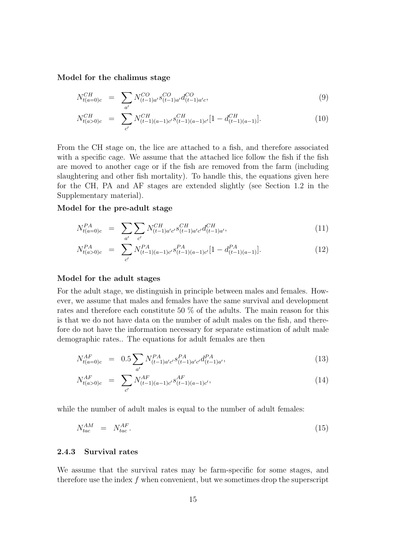#### Model for the chalimus stage

$$
N_{t(a=0)c}^{CH} = \sum_{a'} N_{(t-1)a'}^{CO} S_{(t-1)a'}^{CO} d_{(t-1)a'c}^{CO},
$$
\n(9)

$$
N_{t(a>0)c}^{CH} = \sum_{c'} N_{(t-1)(a-1)c'}^{CH} S_{(t-1)(a-1)c'}^{CH} [1 - d_{(t-1)(a-1)}^{CH}].
$$
\n(10)

From the CH stage on, the lice are attached to a fish, and therefore associated with a specific cage. We assume that the attached lice follow the fish if the fish are moved to another cage or if the fish are removed from the farm (including slaughtering and other fish mortality). To handle this, the equations given here for the CH, PA and AF stages are extended slightly (see Section 1.2 in the Supplementary material).

#### Model for the pre-adult stage

$$
N_{t(a=0)c}^{PA} = \sum_{a'} \sum_{c'} N_{(t-1)a'c'}^{CH} S_{(t-1)a'c'}^{CH} d_{(t-1)a'}^{CH},
$$
\n(11)

$$
N_{t(a>0)c}^{PA} = \sum_{c'} N_{(t-1)(a-1)c'}^{PA} S_{(t-1)(a-1)c'}^{PA} [1 - d_{(t-1)(a-1)}^{PA}]. \tag{12}
$$

#### Model for the adult stages

For the adult stage, we distinguish in principle between males and females. However, we assume that males and females have the same survival and development rates and therefore each constitute 50 % of the adults. The main reason for this is that we do not have data on the number of adult males on the fish, and therefore do not have the information necessary for separate estimation of adult male demographic rates.. The equations for adult females are then

$$
N_{t(a=0)c}^{AF} = 0.5 \sum_{a'} N_{(t-1)a'c'}^{PA} S_{(t-1)a'c'}^{PA} d_{(t-1)a'}^{PA}, \qquad (13)
$$

$$
N_{t(a>0)c}^{AF} = \sum_{c'} N_{(t-1)(a-1)c'}^{AF} s_{(t-1)(a-1)c'}^{AF}, \qquad (14)
$$

while the number of adult males is equal to the number of adult females:

$$
N_{tac}^{AM} = N_{tac}^{AF}.
$$
\n
$$
(15)
$$

#### <span id="page-14-0"></span>2.4.3 Survival rates

We assume that the survival rates may be farm-specific for some stages, and therefore use the index  $f$  when convenient, but we sometimes drop the superscript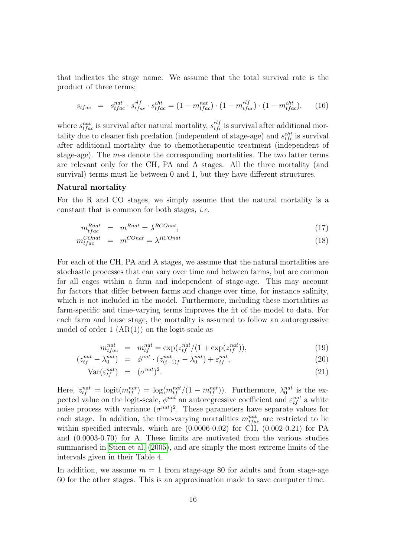that indicates the stage name. We assume that the total survival rate is the product of three terms;

$$
s_{tfac} = s_{tfac}^{nat} \cdot s_{tfac}^{clf} \cdot s_{tfac}^{cht} = (1 - m_{tfac}^{nat}) \cdot (1 - m_{tfac}^{clf}) \cdot (1 - m_{tfac}^{cht}), \qquad (16)
$$

where  $s_{tfac}^{nat}$  is survival after natural mortality,  $s_{tfc}^{clf}$  is survival after additional mortality due to cleaner fish predation (independent of stage-age) and  $s_{tfc}^{cht}$  is survival after additional mortality due to chemotherapeutic treatment (independent of stage-age). The m-s denote the corresponding mortalities. The two latter terms are relevant only for the CH, PA and A stages. All the three mortality (and survival) terms must lie between 0 and 1, but they have different structures.

#### Natural mortality

For the R and CO stages, we simply assume that the natural mortality is a constant that is common for both stages, i.e.

$$
m_{tfac}^{Rnat} = m^{Rnat} = \lambda^{RConat}, \qquad (17)
$$

$$
m_{tfac}^{Conat} = m^{Conat} = \lambda^{RConat} \tag{18}
$$

For each of the CH, PA and A stages, we assume that the natural mortalities are stochastic processes that can vary over time and between farms, but are common for all cages within a farm and independent of stage-age. This may account for factors that differ between farms and change over time, for instance salinity, which is not included in the model. Furthermore, including these mortalities as farm-specific and time-varying terms improves the fit of the model to data. For each farm and louse stage, the mortality is assumed to follow an autoregressive model of order  $1 (AR(1))$  on the logit-scale as

$$
m_{tfac}^{nat} = m_{tf}^{nat} = \exp(z_{tf}^{nat} / (1 + \exp(z_{tf}^{nat})), \tag{19}
$$

$$
(z_{tf}^{nat} - \lambda_0^{nat}) = \phi^{nat} \cdot (z_{(t-1)f}^{nat} - \lambda_0^{nat}) + \varepsilon_{tf}^{nat}, \tag{20}
$$

$$
Var(\varepsilon_{tf}^{nat}) = (\sigma^{nat})^2.
$$
\n(21)

Here,  $z_{tf}^{nat} = \text{logit}(m_{tf}^{nat}) = \text{log}(m_{tf}^{nat}/(1 - m_{tf}^{nat}))$ . Furthermore,  $\lambda_0^{nat}$  is the expected value on the logit-scale,  $\phi^{nat}$  an autoregressive coefficient and  $\varepsilon_{tf}^{nat}$  a white noise process with variance  $(\sigma^{nat})^2$ . These parameters have separate values for each stage. In addition, the time-varying mortalities  $m_{tfac}^{nat}$  are restricted to lie within specified intervals, which are (0.0006-0.02) for CH, (0.002-0.21) for PA and (0.0003-0.70) for A. These limits are motivated from the various studies summarised in [Stien et al. \(2005\)](#page-38-2), and are simply the most extreme limits of the intervals given in their Table 4.

In addition, we assume  $m = 1$  from stage-age 80 for adults and from stage-age 60 for the other stages. This is an approximation made to save computer time.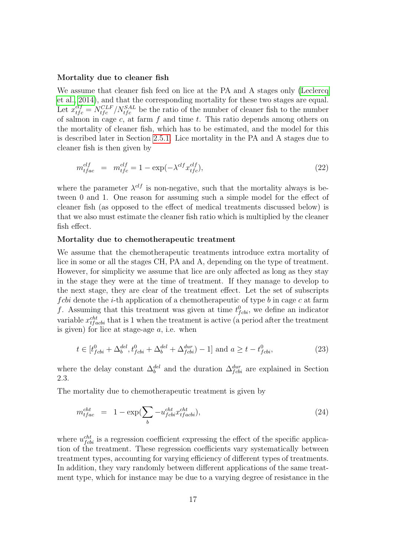#### Mortality due to cleaner fish

We assume that cleaner fish feed on lice at the PA and A stages only [\(Leclercq](#page-37-10) [et al., 2014\)](#page-37-10), and that the corresponding mortality for these two stages are equal. Let  $x_{tfc}^{clf} = N_{tfc}^{CLF} / N_{tfc}^{SAL}$  be the ratio of the number of cleaner fish to the number of salmon in cage c, at farm  $f$  and time  $t$ . This ratio depends among others on the mortality of cleaner fish, which has to be estimated, and the model for this is described later in Section [2.5.1.](#page-21-0) Lice mortality in the PA and A stages due to cleaner fish is then given by

$$
m_{tfac}^{clf} = m_{tfc}^{clf} = 1 - \exp(-\lambda^{clf} x_{tfc}^{clf}), \qquad (22)
$$

where the parameter  $\lambda^{clf}$  is non-negative, such that the mortality always is between 0 and 1. One reason for assuming such a simple model for the effect of cleaner fish (as opposed to the effect of medical treatments discussed below) is that we also must estimate the cleaner fish ratio which is multiplied by the cleaner fish effect.

#### Mortality due to chemotherapeutic treatment

We assume that the chemotherapeutic treatments introduce extra mortality of lice in some or all the stages CH, PA and A, depending on the type of treatment. However, for simplicity we assume that lice are only affected as long as they stay in the stage they were at the time of treatment. If they manage to develop to the next stage, they are clear of the treatment effect. Let the set of subscripts f cbi denote the *i*-th application of a chemotherapeutic of type b in cage c at farm f. Assuming that this treatment was given at time  $t_{fcbi}^0$ , we define an indicator variable  $x_{tfack}^{cht}$  that is 1 when the treatment is active (a period after the treatment is given) for lice at stage-age  $a$ , i.e. when

$$
t \in [t_{fcbi}^{0} + \Delta_b^{del}, t_{fcbi}^{0} + \Delta_b^{del} + \Delta_{fcbi}^{dur}) - 1] \text{ and } a \ge t - t_{fcbi}^{0},
$$
\n(23)

where the delay constant  $\Delta_b^{del}$  and the duration  $\Delta_{fcbi}^{dur}$  are explained in Section 2.3.

The mortality due to chemotherapeutic treatment is given by

$$
m_{tfac}^{cht} = 1 - \exp\left(\sum_{b} -u_{fcbi}^{cht} x_{tfacb}^{cht}\right),\tag{24}
$$

where  $u_{fcbi}^{ch}$  is a regression coefficient expressing the effect of the specific application of the treatment. These regression coefficients vary systematically between treatment types, accounting for varying efficiency of different types of treatments. In addition, they vary randomly between different applications of the same treatment type, which for instance may be due to a varying degree of resistance in the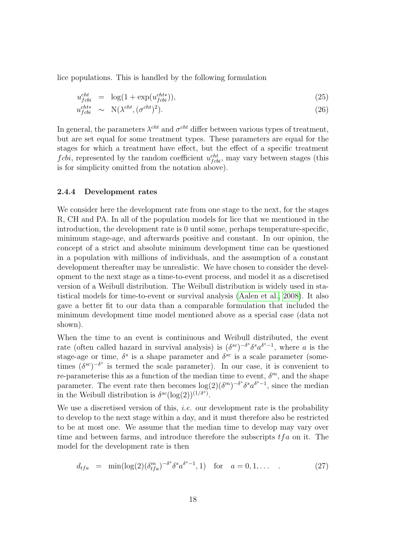lice populations. This is handled by the following formulation

$$
u_{fcbi}^{cht} = \log(1 + \exp(u_{fcbi}^{cht*})), \qquad (25)
$$

$$
u_{fcbi}^{cht*} \sim \mathcal{N}(\lambda^{cht}, (\sigma^{cht})^2). \tag{26}
$$

In general, the parameters  $\lambda^{cht}$  and  $\sigma^{cht}$  differ between various types of treatment, but are set equal for some treatment types. These parameters are equal for the stages for which a treatment have effect, but the effect of a specific treatment fcbi, represented by the random coefficient  $u_{fcbi}^{cht}$ , may vary between stages (this is for simplicity omitted from the notation above).

#### <span id="page-17-0"></span>2.4.4 Development rates

We consider here the development rate from one stage to the next, for the stages R, CH and PA. In all of the population models for lice that we mentioned in the introduction, the development rate is 0 until some, perhaps temperature-specific, minimum stage-age, and afterwards positive and constant. In our opinion, the concept of a strict and absolute minimum development time can be questioned in a population with millions of individuals, and the assumption of a constant development thereafter may be unrealistic. We have chosen to consider the development to the next stage as a time-to-event process, and model it as a discretised version of a Weibull distribution. The Weibull distribution is widely used in statistical models for time-to-event or survival analysis [\(Aalen et al., 2008\)](#page-35-7). It also gave a better fit to our data than a comparable formulation that included the minimum development time model mentioned above as a special case (data not shown).

When the time to an event is continiuous and Weibull distributed, the event rate (often called hazard in survival analysis) is  $(\delta^{sc})^{-\delta^s}\delta^s a^{\delta^s-1}$ , where a is the stage-age or time,  $\delta^s$  is a shape parameter and  $\delta^{sc}$  is a scale parameter (sometimes  $(\delta^{sc})^{-\delta^s}$  is termed the scale parameter). In our case, it is convenient to re-parameterise this as a function of the median time to event,  $\delta^m$ , and the shape parameter. The event rate then becomes  $\log(2) (\delta^m)^{-\delta^s} \delta^s a^{\delta^s-1}$ , since the median in the Weibull distribution is  $\delta^{sc}(\log(2))^{(1/\delta^s)}$ .

We use a discretised version of this, *i.e.* our development rate is the probability to develop to the next stage within a day, and it must therefore also be restricted to be at most one. We assume that the median time to develop may vary over time and between farms, and introduce therefore the subscripts  $tfa$  on it. The model for the development rate is then

<span id="page-17-1"></span>
$$
d_{tfa} = \min(\log(2)(\delta_{tfa}^m)^{-\delta^s} \delta^s a^{\delta^s - 1}, 1) \text{ for } a = 0, 1, \dots \tag{27}
$$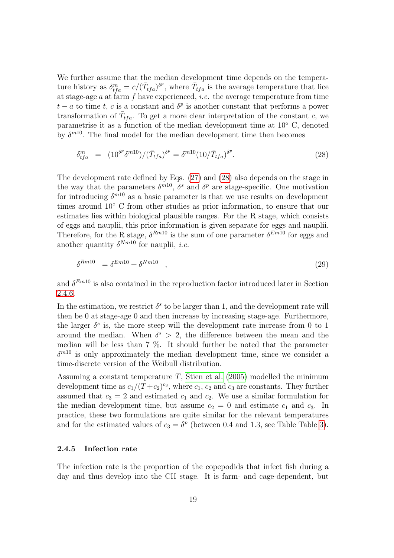We further assume that the median development time depends on the temperature history as  $\delta_{tfa}^m = c/(\bar{T}_{tfa})^{\delta^p}$ , where  $\bar{T}_{tfa}$  is the average temperature that lice at stage-age  $a$  at farm  $f$  have experienced, *i.e.* the average temperature from time  $t - a$  to time t, c is a constant and  $\delta^p$  is another constant that performs a power transformation of  $\bar{T}_{tfa}$ . To get a more clear interpretation of the constant c, we parametrise it as a function of the median development time at 10◦ C, denoted by  $\delta^{m10}$ . The final model for the median development time then becomes

<span id="page-18-1"></span>
$$
\delta_{tfa}^{m} = (10^{\delta^{p}} \delta^{m10}) / (\bar{T}_{tfa})^{\delta^{p}} = \delta^{m10} (10 / \bar{T}_{tfa})^{\delta^{p}}.
$$
\n(28)

The development rate defined by Eqs. [\(27\)](#page-17-1) and [\(28\)](#page-18-1) also depends on the stage in the way that the parameters  $\delta^{m10}$ ,  $\delta^s$  and  $\delta^p$  are stage-specific. One motivation for introducing  $\delta^{m10}$  as a basic parameter is that we use results on development times around 10◦ C from other studies as prior information, to ensure that our estimates lies within biological plausible ranges. For the R stage, which consists of eggs and nauplii, this prior information is given separate for eggs and nauplii. Therefore, for the R stage,  $\delta^{Rm10}$  is the sum of one parameter  $\delta^{Em10}$  for eggs and another quantity  $\delta^{Nm10}$  for nauplii, *i.e.* 

$$
\delta^{Rm10} = \delta^{Em10} + \delta^{Nm10} \quad , \tag{29}
$$

and  $\delta^{Em10}$  is also contained in the reproduction factor introduced later in Section [2.4.6.](#page-19-0)

In the estimation, we restrict  $\delta^s$  to be larger than 1, and the development rate will then be 0 at stage-age 0 and then increase by increasing stage-age. Furthermore, the larger  $\delta^s$  is, the more steep will the development rate increase from 0 to 1 around the median. When  $\delta^s > 2$ , the difference between the mean and the median will be less than 7 %. It should further be noted that the parameter  $\delta^{m10}$  is only approximately the median development time, since we consider a time-discrete version of the Weibull distribution.

Assuming a constant temperature T, [Stien et al. \(2005\)](#page-38-2) modelled the minimum development time as  $c_1/(T+c_2)^{c_3}$ , where  $c_1, c_2$  and  $c_3$  are constants. They further assumed that  $c_3 = 2$  and estimated  $c_1$  and  $c_2$ . We use a similar formulation for the median development time, but assume  $c_2 = 0$  and estimate  $c_1$  and  $c_3$ . In practice, these two formulations are quite similar for the relevant temperatures and for the estimated values of  $c_3 = \delta^p$  (between 0.4 and 1.3, see Table Table [3\)](#page-27-0).

#### <span id="page-18-0"></span>2.4.5 Infection rate

The infection rate is the proportion of the copepodids that infect fish during a day and thus develop into the CH stage. It is farm- and cage-dependent, but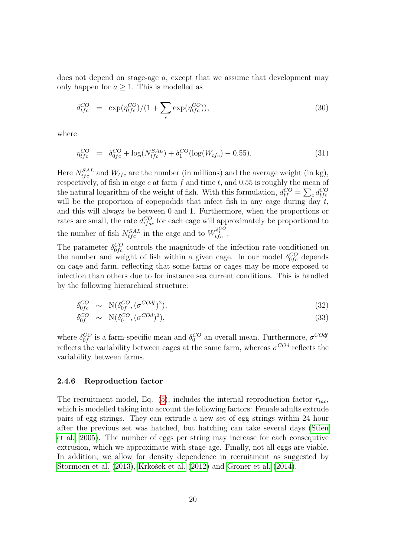does not depend on stage-age a, except that we assume that development may only happen for  $a \geq 1$ . This is modelled as

$$
d_{tfc}^{CO} = \exp(\eta_{tfc}^{CO})/(1 + \sum_{c} \exp(\eta_{tfc}^{CO})), \qquad (30)
$$

where

$$
\eta_{tfc}^{CO} = \delta_{0fc}^{CO} + \log(N_{tfc}^{SAL}) + \delta_1^{CO}(\log(W_{tfc}) - 0.55). \tag{31}
$$

Here  $N_{tfc}^{SAL}$  and  $W_{tfc}$  are the number (in millions) and the average weight (in kg), respectively, of fish in cage c at farm  $f$  and time  $t$ , and 0.55 is roughly the mean of the natural logarithm of the weight of fish. With this formulation,  $d_{tf}^{CO} = \sum_c d_{tfc}^{CO}$ will be the proportion of copepodids that infect fish in any cage during day  $t$ , and this will always be between 0 and 1. Furthermore, when the proportions or rates are small, the rate  $d_{tfac}^{CO}$  for each cage will approximately be proportional to the number of fish  $N_{tfc}^{SAL}$  in the cage and to  $W_{tfc}^{\delta_1^{CO}}$ .

The parameter  $\delta_{0fc}^{CO}$  controls the magnitude of the infection rate conditioned on the number and weight of fish within a given cage. In our model  $\delta_{0fc}^{CO}$  depends on cage and farm, reflecting that some farms or cages may be more exposed to infection than others due to for instance sea current conditions. This is handled by the following hierarchical structure:

$$
\delta_{0fc}^{CO} \sim \mathcal{N}(\delta_{0f}^{CO}, (\sigma^{COdf})^2), \tag{32}
$$

$$
\delta_{0f}^{CO} \sim \mathcal{N}(\delta_0^{CO}, (\sigma^{COd})^2), \tag{33}
$$

where  $\delta_{0f}^{CO}$  is a farm-specific mean and  $\delta_{0}^{CO}$  an overall mean. Furthermore,  $\sigma^{CO}$ reflects the variability between cages at the same farm, whereas  $\sigma^{COd}$  reflects the variability between farms.

#### <span id="page-19-0"></span>2.4.6 Reproduction factor

The recruitment model, Eq.  $(5)$ , includes the internal reproduction factor  $r_{tac}$ , which is modelled taking into account the following factors: Female adults extrude pairs of egg strings. They can extrude a new set of egg strings within 24 hour after the previous set was hatched, but hatching can take several days [\(Stien](#page-38-2) [et al., 2005\)](#page-38-2). The number of eggs per string may increase for each consequtive extrusion, which we approximate with stage-age. Finally, not all eggs are viable. In addition, we allow for density dependence in recruitment as suggested by [Stormoen et al. \(2013\)](#page-38-4), Krkošek et al. (2012) and [Groner et al. \(2014\)](#page-36-4).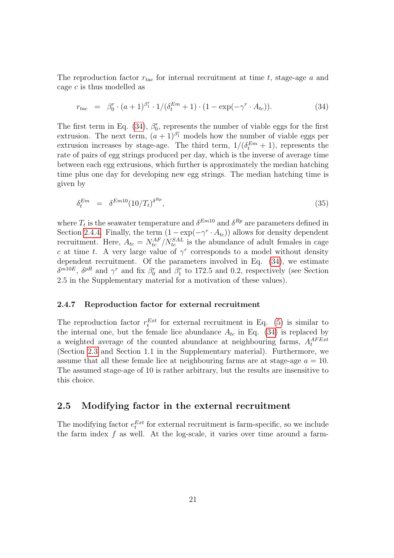The reproduction factor  $r_{tac}$  for internal recruitment at time t, stage-age a and cage c is thus modelled as

<span id="page-20-2"></span>
$$
r_{tac} = \beta_0^r \cdot (a+1)^{\beta_1^r} \cdot 1/(\delta_t^{Em} + 1) \cdot (1 - \exp(-\gamma^r \cdot A_{tc})). \tag{34}
$$

The first term in Eq. [\(34\)](#page-20-2),  $\beta_0^r$ , represents the number of viable eggs for the first extrusion. The next term,  $(a+1)^{\beta_1}$  models how the number of viable eggs per extrusion increases by stage-age. The third term,  $1/(\delta_t^{Em} + 1)$ , represents the rate of pairs of egg strings produced per day, which is the inverse of average time between each egg extrusions, which further is approximately the median hatching time plus one day for developing new egg strings. The median hatching time is given by

$$
\delta_t^{Em} = \delta^{Em10} (10/T_t)^{\delta^{Rp}}, \qquad (35)
$$

where  $T_t$  is the seawater temperature and  $\delta^{Em10}$  and  $\delta^{Rp}$  are parameters defined in Section [2.4.4.](#page-17-0) Finally, the term  $(1 - \exp(-\gamma^r \cdot A_{tc}))$  allows for density dependent recruitment. Here,  $A_{tc} = N_{tc}^{AF}/N_{tc}^{SAL}$  is the abundance of adult females in cage c at time t. A very large value of  $\gamma^r$  corresponds to a model without density dependent recruitment. Of the parameters involved in Eq. [\(34\)](#page-20-2), we estimate  $\delta^{m10E}$ ,  $\delta^{pR}$  and  $\gamma^r$  and fix  $\beta_0^r$  and  $\beta_1^r$  to 172.5 and 0.2, respectively (see Section 2.5 in the Supplementary material for a motivation of these values).

#### <span id="page-20-0"></span>2.4.7 Reproduction factor for external recruitment

The reproduction factor  $r_t^{Ext}$  for external recruitment in Eq. [\(5\)](#page-13-0) is similar to the internal one, but the female lice abundance  $A_{tc}$  in Eq. [\(34\)](#page-20-2) is replaced by a weighted average of the counted abundance at neighbouring farms,  $A_t^{AFExt}$ (Section [2.3](#page-5-0) and Section 1.1 in the Supplementary material). Furthermore, we assume that all these female lice at neighbouring farms are at stage-age  $a = 10$ . The assumed stage-age of 10 is rather arbitrary, but the results are insensitive to this choice.

### <span id="page-20-1"></span>2.5 Modifying factor in the external recruitment

The modifying factor  $e_t^{Ext}$  for external recruitment is farm-specific, so we include the farm index  $f$  as well. At the log-scale, it varies over time around a farm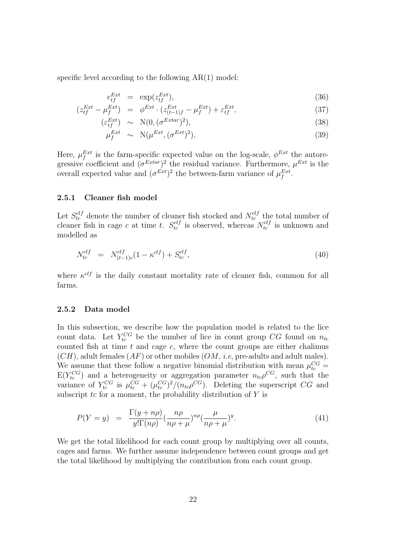specific level according to the following  $AR(1)$  model:

$$
e_{tf}^{Ext} = \exp(z_{tf}^{Ext}), \tag{36}
$$

$$
(z_{tf}^{Ext} - \mu_f^{Ext}) = \phi^{Ext} \cdot (z_{(t-1)f}^{Ext} - \mu_f^{Ext}) + \varepsilon_{tf}^{Ext}, \tag{37}
$$

$$
(\varepsilon_{tf}^{Ext}) \sim \mathcal{N}(0, (\sigma^{Extar})^2), \tag{38}
$$

$$
\mu_f^{Ext} \sim \mathcal{N}(\mu^{Ext}, (\sigma^{Ext})^2). \tag{39}
$$

Here,  $\mu_f^{Ext}$  is the farm-specific expected value on the log-scale,  $\phi^{Ext}$  the autoregressive coefficient and  $(\sigma^{Extar})^2$  the residual variance. Furthermore,  $\mu^{Ext}$  is the overall expected value and  $(\sigma^{Ext})^2$  the between-farm variance of  $\mu_f^{Ext}$ .

#### <span id="page-21-0"></span>2.5.1 Cleaner fish model

Let  $S_{tc}^{clf}$  denote the number of cleaner fish stocked and  $N_{tc}^{clf}$  the total number of cleaner fish in cage c at time t.  $S_{tc}^{clf}$  is observed, whereas  $N_{tc}^{clf}$  is unknown and modelled as

$$
N_{tc}^{clf} = N_{(t-1)c}^{clf}(1 - \kappa^{clf}) + S_{tc}^{clf}, \tag{40}
$$

where  $\kappa^{clf}$  is the daily constant mortality rate of cleaner fish, common for all farms.

#### <span id="page-21-1"></span>2.5.2 Data model

In this subsection, we describe how the population model is related to the lice count data. Let  $Y_{tc}^{CG}$  be the number of lice in count group CG found on  $n_{tc}$ counted fish at time  $t$  and cage  $c$ , where the count groups are either chalimus  $(CH)$ , adult females  $(AF)$  or other mobiles  $(OM, i.e.,$  pre-adults and adult males). We assume that these follow a negative binomial distribution with mean  $\mu_{te}^{CG}$  $E(Y_{tc}^{CG})$  and a heterogeneity or aggregation parameter  $n_{tc} \rho^{CG}$ , such that the variance of  $Y_{tc}^{CG}$  is  $\mu_{tc}^{CG} + (\mu_{tc}^{CG})^2/(n_{tc}\rho^{CG})$ . Deleting the superscript CG and subscript  $tc$  for a moment, the probability distribution of  $Y$  is

$$
P(Y = y) = \frac{\Gamma(y + n\rho)}{y!\Gamma(n\rho)} \left(\frac{n\rho}{n\rho + \mu}\right)^{n\rho} \left(\frac{\mu}{n\rho + \mu}\right)^{y}.
$$
\n(41)

We get the total likelihood for each count group by multiplying over all counts, cages and farms. We further assume independence between count groups and get the total likelihood by multiplying the contribution from each count group.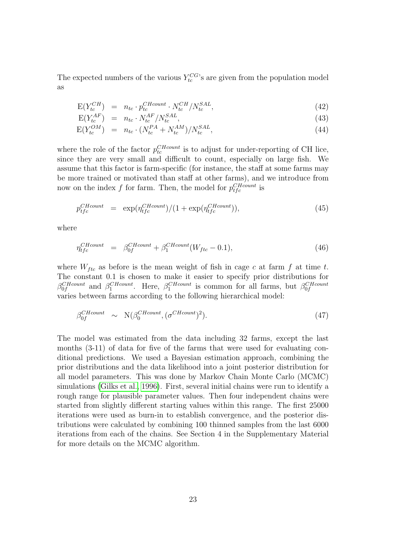The expected numbers of the various  $Y_{tc}^{CG}$ 's are given from the population model as

$$
E(Y_{tc}^{CH}) = n_{tc} \cdot p_{tc}^{CHcount} \cdot N_{tc}^{CH}/N_{tc}^{SAL}, \qquad (42)
$$

$$
E(Y_{tc}^{AF}) = n_{tc} \cdot N_{tc}^{AF}/N_{tc}^{SAL},\tag{43}
$$

$$
E(Y_{tc}^{OM}) = n_{tc} \cdot (N_{tc}^{PA} + N_{tc}^{AM}) / N_{tc}^{SAL}, \qquad (44)
$$

where the role of the factor  $p_{tc}^{CHcount}$  is to adjust for under-reporting of CH lice, since they are very small and difficult to count, especially on large fish. We assume that this factor is farm-specific (for instance, the staff at some farms may be more trained or motivated than staff at other farms), and we introduce from now on the index f for farm. Then, the model for  $p_{tfc}^{CHcount}$  is

$$
p_{tfc}^{CHcount} = \exp(\eta_{tfc}^{CHcount})/(1 + \exp(\eta_{tfc}^{CHcount})), \qquad (45)
$$

where

$$
\eta_{tfc}^{CHcount} = \beta_{0f}^{CHcount} + \beta_1^{CHcount}(W_{ftc} - 0.1), \qquad (46)
$$

where  $W_{ftc}$  as before is the mean weight of fish in cage c at farm f at time t. The constant 0.1 is chosen to make it easier to specify prior distributions for  $\beta_{0f}^{CHcount}$  and  $\beta_{1}^{CHcount}$ . Here,  $\beta_{1}^{CHcount}$  is common for all farms, but  $\beta_{0f}^{CHcount}$ varies between farms according to the following hierarchical model:

$$
\beta_{0f}^{CHcount} \sim \mathcal{N}(\beta_0^{CHcount}, (\sigma^{CHcount})^2). \tag{47}
$$

The model was estimated from the data including 32 farms, except the last months (3-11) of data for five of the farms that were used for evaluating conditional predictions. We used a Bayesian estimation approach, combining the prior distributions and the data likelihood into a joint posterior distribution for all model parameters. This was done by Markov Chain Monte Carlo (MCMC) simulations [\(Gilks et al., 1996\)](#page-36-9). First, several initial chains were run to identify a rough range for plausible parameter values. Then four independent chains were started from slightly different starting values within this range. The first 25000 iterations were used as burn-in to establish convergence, and the posterior distributions were calculated by combining 100 thinned samples from the last 6000 iterations from each of the chains. See Section 4 in the Supplementary Material for more details on the MCMC algorithm.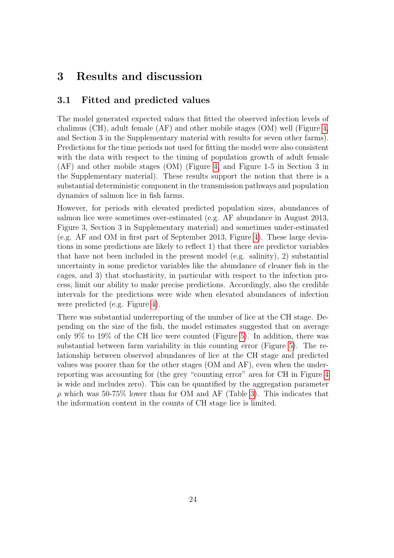# 3 Results and discussion

## 3.1 Fitted and predicted values

The model generated expected values that fitted the observed infection levels of chalimus (CH), adult female (AF) and other mobile stages (OM) well (Figure [4,](#page-24-0) and Section 3 in the Supplementary material with results for seven other farms). Predictions for the time periods not used for fitting the model were also consistent with the data with respect to the timing of population growth of adult female (AF) and other mobile stages (OM) (Figure [4,](#page-24-0) and Figure 1-5 in Section 3 in the Supplementary material). These results support the notion that there is a substantial deterministic component in the transmission pathways and population dynamics of salmon lice in fish farms.

However, for periods with elevated predicted population sizes, abundances of salmon lice were sometimes over-estimated (e.g. AF abundance in August 2013, Figure 3, Section 3 in Supplementary material) and sometimes under-estimated (e.g. AF and OM in first part of September 2013, Figure [4\)](#page-24-0). These large deviations in some predictions are likely to reflect 1) that there are predictor variables that have not been included in the present model (e.g. salinity), 2) substantial uncertainty in some predictor variables like the abundance of cleaner fish in the cages, and 3) that stochasticity, in particular with respect to the infection process, limit our ability to make precise predictions. Accordingly, also the credible intervals for the predictions were wide when elevated abundances of infection were predicted (e.g. Figure [4\)](#page-24-0).

There was substantial underreporting of the number of lice at the CH stage. Depending on the size of the fish, the model estimates suggested that on average only 9% to 19% of the CH lice were counted (Figure [5\)](#page-25-0). In addition, there was substantial between farm variability in this counting error (Figure [5\)](#page-25-0). The relationship between observed abundances of lice at the CH stage and predicted values was poorer than for the other stages (OM and AF), even when the underreporting was accounting for (the grey "counting error" area for CH in Figure [4](#page-24-0) is wide and includes zero). This can be quantified by the aggregation parameter  $\rho$  which was 50-75% lower than for OM and AF (Table [3\)](#page-27-0). This indicates that the information content in the counts of CH stage lice is limited.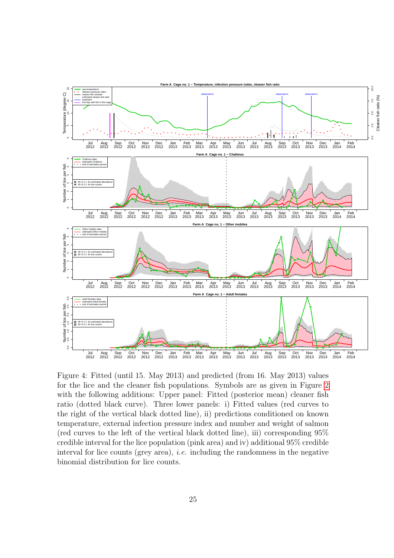

<span id="page-24-0"></span>Figure 4: Fitted (until 15. May 2013) and predicted (from 16. May 2013) values for the lice and the cleaner fish populations. Symbols are as given in Figure [2](#page-9-0) with the following additions: Upper panel: Fitted (posterior mean) cleaner fish ratio (dotted black curve). Three lower panels: i) Fitted values (red curves to the right of the vertical black dotted line), ii) predictions conditioned on known temperature, external infection pressure index and number and weight of salmon (red curves to the left of the vertical black dotted line), iii) corresponding 95% credible interval for the lice population (pink area) and iv) additional 95% credible interval for lice counts (grey area), i.e. including the randomness in the negative binomial distribution for lice counts.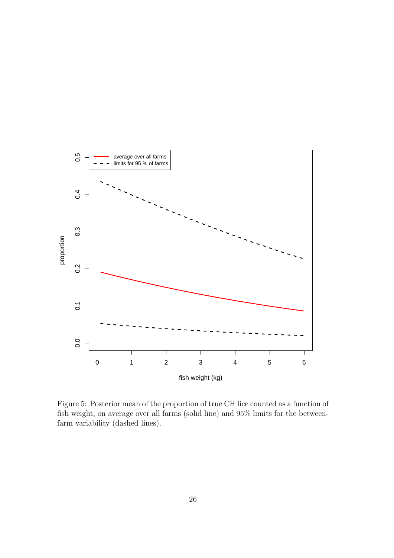

<span id="page-25-0"></span>Figure 5: Posterior mean of the proportion of true CH lice counted as a function of fish weight, on average over all farms (solid line) and 95% limits for the betweenfarm variability (dashed lines).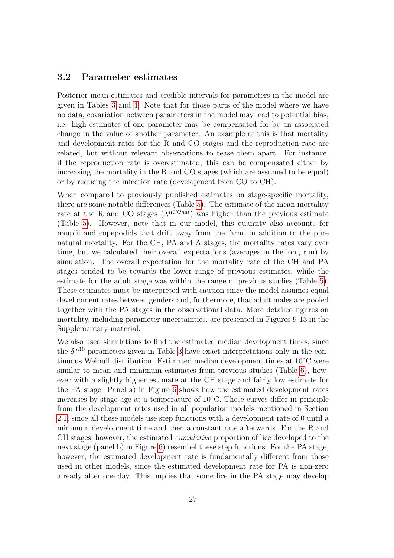### 3.2 Parameter estimates

Posterior mean estimates and credible intervals for parameters in the model are given in Tables [3](#page-27-0) and [4.](#page-28-0) Note that for those parts of the model where we have no data, covariation between parameters in the model may lead to potential bias, i.e. high estimates of one parameter may be compensated for by an associated change in the value of another parameter. An example of this is that mortality and development rates for the R and CO stages and the reproduction rate are related, but without relevant observations to tease them apart. For instance, if the reproduction rate is overestimated, this can be compensated either by increasing the mortality in the R and CO stages (which are assumed to be equal) or by reducing the infection rate (development from CO to CH).

When compared to previously published estimates on stage-specific mortality, there are some notable differences (Table [5\)](#page-29-0). The estimate of the mean mortality rate at the R and CO stages  $(\lambda^{RCOnat})$  was higher than the previous estimate (Table [5\)](#page-29-0). However, note that in our model, this quantity also accounts for nauplii and copepodids that drift away from the farm, in addition to the pure natural mortality. For the CH, PA and A stages, the mortality rates vary over time, but we calculated their overall expectations (averages in the long run) by simulation. The overall expectation for the mortality rate of the CH and PA stages tended to be towards the lower range of previous estimates, while the estimate for the adult stage was within the range of previous studies (Table [5\)](#page-29-0). These estimates must be interpreted with caution since the model assumes equal development rates between genders and, furthermore, that adult males are pooled together with the PA stages in the observational data. More detailed figures on mortality, including parameter uncertainties, are presented in Figures 9-13 in the Supplementary material.

We also used simulations to find the estimated median development times, since the  $\delta^{m10}$  parameters given in Table [3](#page-27-0) have exact interpretations only in the continuous Weibull distribution. Estimated median development times at 10◦C were similar to mean and minimum estimates from previous studies (Table [6\)](#page-29-1), however with a slightly higher estimate at the CH stage and fairly low estimate for the PA stage. Panel a) in Figure [6](#page-30-0) shows how the estimated development rates increases by stage-age at a temperature of 10◦C. These curves differ in principle from the development rates used in all population models mentioned in Section [2.1,](#page-3-0) since all these models use step functions with a development rate of 0 until a minimum development time and then a constant rate afterwards. For the R and CH stages, however, the estimated cumulative proportion of lice developed to the next stage (panel b) in Figure [6\)](#page-30-0) resembel these step functions. For the PA stage, however, the estimated development rate is fundamentally different from those used in other models, since the estimated development rate for PA is non-zero already after one day. This implies that some lice in the PA stage may develop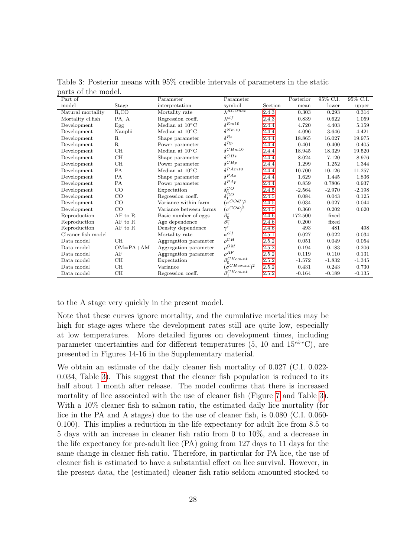| $P^{\text{out}}$ to $P^{\text{in}}$ and $P^{\text{out}}$<br>Part of |             | Parameter                | Parameter                               |         | Posterior | 95% C.I. | 95% C.I. |
|---------------------------------------------------------------------|-------------|--------------------------|-----------------------------------------|---------|-----------|----------|----------|
| model                                                               | Stage       | interpretation           | symbol                                  | Section | mean      | lower    | upper    |
| Natural mortality                                                   | R, CO       | Mortality rate           | $\lambda^{RCOnat}$                      | 2.4.3   | 0.303     | 0.293    | 0.314    |
| Mortality cl.fish                                                   | PA, A       | Regression coeff.        | $\lambda^{clf}$                         | 2.4.3   | 0.839     | 0.622    | 1.059    |
| Development                                                         | Egg         | Median at $10^{\circ}$ C | $\delta^{Em10}$                         | 2.4.4   | 4.720     | 4.403    | 5.159    |
| Development                                                         | Nauplii     | Median at $10^{\circ}$ C | $\delta^{Nm10}$                         | 2.4.4   | 4.096     | 3.646    | 4.421    |
| Development                                                         | R           | Shape parameter          | $\delta^{Rs}$                           | 2.4.4   | 18.865    | 16.027   | 19.975   |
| Development                                                         | $\mathbf R$ | Power parameter          | $\delta^{Rp}$                           | 2.4.4   | 0.401     | 0.400    | 0.405    |
| Development                                                         | CH          | Median at $10^{\circ}$ C | $\delta^{CHm10}$                        | 2.4.4   | 18.945    | 18.329   | 19.520   |
| Development                                                         | CH          | Shape parameter          | $\delta$ CH <sub>s</sub>                | 2.4.4   | 8.024     | 7.120    | 8.976    |
| Development                                                         | CH          | Power parameter          | $\delta^{CHp}$                          | 2.4.4   | 1.299     | 1.252    | 1.344    |
| Development                                                         | PA          | Median at $10^{\circ}$ C | $\delta^{PAm10}$                        | 2.4.4   | 10.700    | 10.126   | 11.257   |
| Development                                                         | PA          | Shape parameter          | $\delta^{PAs}$                          | 2.4.4   | 1.629     | 1.445    | 1.836    |
| Development                                                         | PA          | Power parameter          | $\delta^{PAp}$                          | 2.4.4   | 0.859     | 0.7806   | 0.937    |
| Development                                                         | CO          | Expectation              | $\delta_0^{CO}$                         | 2.4.5   | $-2.564$  | $-2.970$ | $-2.198$ |
| Development                                                         | CO          | Regression coeff.        | $\delta_1^{\circ}$ CO                   | 2.4.5   | 0.084     | 0.043    | 0.125    |
| Development                                                         | CO          | Variance within farm     | $\int_{0}^{\infty} COdf$ ) <sup>2</sup> | 2.4.5   | 0.034     | 0.027    | 0.044    |
| Development                                                         | CO          | Variance between farms   | $(\sigma^{COd})^2$                      | 2.4.5   | 0.360     | 0.202    | 0.620    |
| Reproduction                                                        | AF to R     | Basic number of eggs     | $\beta_0^r$                             | 2.4.6   | 172.500   | fixed    |          |
| Reproduction                                                        | AF to R     | Age dependence           | $\beta_1^r$                             | 2.4.6   | 0.200     | fixed    |          |
| Reproduction                                                        | AF to R     | Density dependence       | $\gamma^{r}$                            | 2.4.6   | 493       | 481      | 498      |
| Cleaner fish model                                                  |             | Mortality rate           | $\kappa^{clf}$                          | 2.5.1   | 0.027     | 0.022    | 0.034    |
| Data model                                                          | <b>CH</b>   | Aggregation parameter    | $\rho^{CH}$                             | 2.5.2   | 0.051     | 0.049    | 0.054    |
| Data model                                                          | $OM=PA+AM$  | Aggregation parameter    | $\rho^{OM}$                             | 2.5.2   | 0.194     | 0.183    | 0.206    |
| Data model                                                          | AF          | Aggregation parameter    | $\rho^{AF}$                             | 2.5.2   | 0.119     | 0.110    | 0.131    |
| Data model                                                          | CН          | Expectation              | $\beta_0^{CHcount}$                     | 2.5.2   | $-1.572$  | $-1.832$ | $-1.345$ |
| Data model                                                          | CН          | Variance                 | $\sigma$ CHcount $\gamma$ <sup>2</sup>  | 2.5.2   | 0.431     | 0.243    | 0.730    |
| Data model                                                          | CH          | Regression coeff.        | $\beta$ CHcount                         | 2.5.2   | $-0.164$  | $-0.189$ | $-0.135$ |

<span id="page-27-0"></span>Table 3: Posterior means with 95% credible intervals of parameters in the static parts of the model

to the A stage very quickly in the present model.

Note that these curves ignore mortality, and the cumulative mortalities may be high for stage-ages where the development rates still are quite low, especially at low temperatures. More detailed figures on development times, including parameter uncertainties and for different temperatures (5, 10 and  $15^{circ}C$ ), are presented in Figures 14-16 in the Supplementary material.

We obtain an estimate of the daily cleaner fish mortality of 0.027 (C.I. 0.022- 0.034, Table [3\)](#page-27-0). This suggest that the cleaner fish population is reduced to its half about 1 month after release. The model confirms that there is increased mortality of lice associated with the use of cleaner fish (Figure [7](#page-31-0) and Table [3\)](#page-27-0). With a  $10\%$  cleaner fish to salmon ratio, the estimated daily lice mortality (for lice in the PA and A stages) due to the use of cleaner fish, is 0.080 (C.I. 0.060- 0.100). This implies a reduction in the life expectancy for adult lice from 8.5 to 5 days with an increase in cleaner fish ratio from 0 to 10%, and a decrease in the life expectancy for pre-adult lice (PA) going from 127 days to 11 days for the same change in cleaner fish ratio. Therefore, in particular for PA lice, the use of cleaner fish is estimated to have a substantial effect on lice survival. However, in the present data, the (estimated) cleaner fish ratio seldom amounted stocked to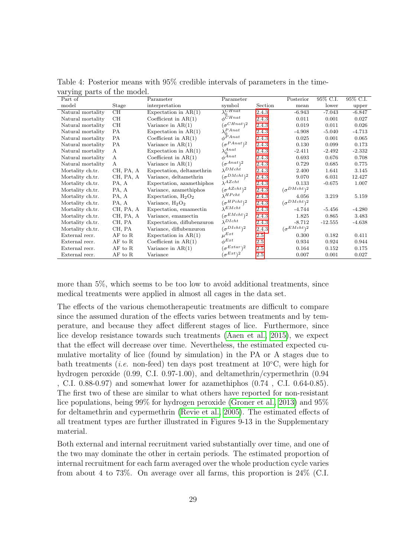| $\frac{1}{2}$ $\frac{1}{2}$ $\frac{1}{2}$ $\frac{1}{2}$ $\frac{1}{2}$ $\frac{1}{2}$ $\frac{1}{2}$ $\frac{1}{2}$ $\frac{1}{2}$ $\frac{1}{2}$ $\frac{1}{2}$ $\frac{1}{2}$ $\frac{1}{2}$ $\frac{1}{2}$ $\frac{1}{2}$ $\frac{1}{2}$ $\frac{1}{2}$ $\frac{1}{2}$ $\frac{1}{2}$ $\frac{1}{2}$ $\frac{1}{2}$ $\frac{1}{2}$<br>Part of |           | Parameter                  | Parameter                     |         | Posterior            | 95% C.I.  | 95% C.I. |
|--------------------------------------------------------------------------------------------------------------------------------------------------------------------------------------------------------------------------------------------------------------------------------------------------------------------------------|-----------|----------------------------|-------------------------------|---------|----------------------|-----------|----------|
| model                                                                                                                                                                                                                                                                                                                          | Stage     | interpretation             | symbol                        | Section | mean                 | lower     | upper    |
| Natural mortality                                                                                                                                                                                                                                                                                                              | CН        | Expectation in $AR(1)$     | $\lambda_0^{CHnat}$           | 2.4.3   | $-6.943$             | $-7.043$  | $-6.847$ |
| Natural mortality                                                                                                                                                                                                                                                                                                              | CН        | Coefficient in $AR(1)$     | $\phi$ CHnat                  | 2.4.3   | 0.011                | 0.001     | 0.027    |
| Natural mortality                                                                                                                                                                                                                                                                                                              | CН        | Variance in $AR(1)$        | $\sigma^{CHnat}$ <sup>2</sup> | 2.4.3   | 0.019                | 0.011     | 0.026    |
| Natural mortality                                                                                                                                                                                                                                                                                                              | РA        | Expectation in $AR(1)$     | $\lambda_0^{PA}$ nat          | 2.4.3   | $-4.908$             | $-5.040$  | $-4.713$ |
| Natural mortality                                                                                                                                                                                                                                                                                                              | PA        | Coefficient in $AR(1)$     | $a^{\text{P}Anat}$            | 2.4.3   | 0.025                | 0.001     | 0.065    |
| Natural mortality                                                                                                                                                                                                                                                                                                              | РA        | Variance in $AR(1)$        | $\sigma^{PAnat}$ <sup>2</sup> | 2.4.3   | 0.130                | 0.099     | 0.173    |
| Natural mortality                                                                                                                                                                                                                                                                                                              | A         | Expectation in $AR(1)$     | $\lambda_0^{Anat}$            | 2.4.3   | $-2.411$             | $-2.492$  | $-2.332$ |
| Natural mortality                                                                                                                                                                                                                                                                                                              | A         | Coefficient in $AR(1)$     | $\phi^{Anat}$                 | 2.4.3   | 0.693                | 0.676     | 0.708    |
| Natural mortality                                                                                                                                                                                                                                                                                                              | A         | Variance in $AR(1)$        | $(\sigma^{Anat})^2$           | 2.4.3   | 0.729                | 0.685     | 0.775    |
| Mortality ch.tr.                                                                                                                                                                                                                                                                                                               | CH, PA, A | Expectation, deltamethrin  | $\lambda^{DMcht}$             | 2.4.3   | 2.400                | 1.641     | 3.145    |
| Mortality ch.tr.                                                                                                                                                                                                                                                                                                               | CH, PA, A | Variance, deltamethrin     | $(\sigma^{DMcht})^2$          | 2.4.3   | 9.070                | 6.031     | 12.427   |
| Mortality ch.tr.                                                                                                                                                                                                                                                                                                               | PA, A     | Expectation, azamethiphos  | $\lambda^{AZcht}$             | 2.4.3   | 0.133                | $-0.675$  | 1.007    |
| Mortality ch.tr.                                                                                                                                                                                                                                                                                                               | PA, A     | Variance, azamethiphos     | $(\sigma^{AZcht})^2$          | 2.4.3   | $(\sigma^{DMcht})^2$ |           |          |
| Mortality ch.tr.                                                                                                                                                                                                                                                                                                               | PA, A     | Expectation, $H_2O_2$      | $\lambda^{HPcht}$             | 2.4.3   | 4.056                | 3.219     | 5.159    |
| Mortality ch.tr.                                                                                                                                                                                                                                                                                                               | PA, A     | Variance, $H_2O_2$         | $(\sigma^{HPcht})^2$          | 2.4.3   | $(\sigma^{DMcht})^2$ |           |          |
| Mortality ch.tr.                                                                                                                                                                                                                                                                                                               | CH, PA, A | Expectation, emamectin     | $\lambda^{EMcht}$             | 2.4.3   | $-4.744$             | $-5.456$  | $-4.280$ |
| Mortality ch.tr.                                                                                                                                                                                                                                                                                                               | CH, PA, A | Variance, emamectin        | $(\sigma^{EMcht})^2$          | 2.4.3   | 1.825                | 0.865     | 3.483    |
| Mortality ch.tr.                                                                                                                                                                                                                                                                                                               | CH, PA    | Expectation, diflubenzuron | $\lambda^{DIcht}$             | 2.4.3   | $-8.712$             | $-12.555$ | $-4.638$ |
| Mortality ch.tr.                                                                                                                                                                                                                                                                                                               | CH, PA    | Variance, diflubenzuron    | $(\sigma^{DIcht})^2$          | 2.4.3   | $(\sigma^{EMcht})^2$ |           |          |
| External recr.                                                                                                                                                                                                                                                                                                                 | AF to R   | Expectation in $AR(1)$     | $\mu^{Ext}$                   | 2.5     | 0.300                | 0.182     | 0.411    |
| External recr.                                                                                                                                                                                                                                                                                                                 | AF to R   | Coefficient in $AR(1)$     | $\phi^{Ext}$                  | 2.5     | 0.934                | 0.924     | 0.944    |
| External recr.                                                                                                                                                                                                                                                                                                                 | AF to R   | Variance in $AR(1)$        | $\sigma^{Extar}$ <sup>2</sup> | 2.5     | 0.164                | 0.152     | 0.175    |
| External recr.                                                                                                                                                                                                                                                                                                                 | AF to R   | Variance                   | $\sigma^{Ext}$ <sup>2</sup>   | 2.5     | 0.007                | 0.001     | 0.027    |

<span id="page-28-0"></span>Table 4: Posterior means with 95% credible intervals of parameters in the timevarying parts of the model.

more than 5%, which seems to be too low to avoid additional treatments, since medical treatments were applied in almost all cages in the data set.

The effects of the various chemotherapeutic treatments are difficult to compare since the assumed duration of the effects varies between treatments and by temperature, and because they affect different stages of lice. Furthermore, since lice develop resistance towards such treatments [\(Aaen et al., 2015\)](#page-35-8), we expect that the effect will decrease over time. Nevertheless, the estimated expected cumulative mortality of lice (found by simulation) in the PA or A stages due to bath treatments (*i.e.* non-feed) ten days post treatment at  $10°C$ , were high for hydrogen peroxide (0.99, C.I. 0.97-1.00), and deltamethrin/cypermethrin (0.94 , C.I. 0.88-0.97) and somewhat lower for azamethiphos (0.74 , C.I. 0.64-0.85). The first two of these are similar to what others have reported for non-resistant lice populations, being 99% for hydrogen peroxide [\(Groner et al., 2013\)](#page-36-6) and 95% for deltamethrin and cypermethrin [\(Revie et al., 2005\)](#page-37-6). The estimated effects of all treatment types are further illustrated in Figures 9-13 in the Supplementary material.

Both external and internal recruitment varied substantially over time, and one of the two may dominate the other in certain periods. The estimated proportion of internal recruitment for each farm averaged over the whole production cycle varies from about 4 to 73%. On average over all farms, this proportion is 24% (C.I.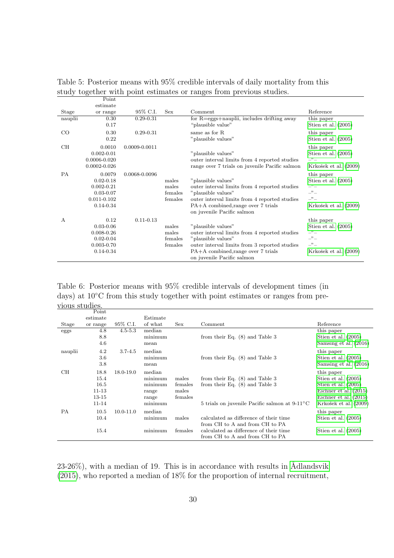|           | Point            |                   |            |                                                                 |                       |
|-----------|------------------|-------------------|------------|-----------------------------------------------------------------|-----------------------|
|           | estimate         |                   |            |                                                                 |                       |
| Stage     | or range         | 95% C.I.          | <b>Sex</b> | Comment                                                         | Reference             |
| nauplii   | 0.30             | $0.29 - 0.31$     |            | for $R = \text{eggs} + \text{nauplii}$ , includes drifting away | this paper            |
|           | 0.17             |                   |            | "plausible value"                                               | Stien et al. $(2005)$ |
| $\rm CO$  | 0.30             | $0.29 - 0.31$     |            | same as for R.                                                  | this paper            |
|           | 0.22             |                   |            | "plausible values"                                              | Stien et al. $(2005)$ |
| CH        | 0.0010           | $0.0009 - 0.0011$ |            |                                                                 | this paper            |
|           | $0.002 - 0.01$   |                   |            | "plausible values"                                              | Stien et al. $(2005)$ |
|           | $0.0006 - 0.020$ |                   |            | outer interval limits from 4 reported studies                   | $-$ " $-$             |
|           | $0.0002 - 0.026$ |                   |            | range over 7 trials on juvenile Pacific salmon                  | Krkošek et al. (2009) |
| <b>PA</b> | 0.0079           | 0.0068-0.0096     |            |                                                                 | this paper            |
|           | $0.02 - 0.18$    |                   | males      | "plausible values"                                              | Stien et al. $(2005)$ |
|           | $0.002 - 0.21$   |                   | males      | outer interval limits from 4 reported studies                   | $-$ " $-$             |
|           | $0.03 - 0.07$    |                   | females    | "plausible values"                                              | $-$ " $-$             |
|           | $0.011 - 0.102$  |                   | females    | outer interval limits from 4 reported studies                   | $-$ " $-$             |
|           | $0.14 - 0.34$    |                   |            | PA+A combined, range over 7 trials                              | Krkošek et al. (2009) |
|           |                  |                   |            | on juvenile Pacific salmon                                      |                       |
| А         | 0.12             | $0.11 - 0.13$     |            |                                                                 | this paper            |
|           | $0.03 - 0.06$    |                   | males      | "plausible values"                                              | Stien et al. $(2005)$ |
|           | $0.008 - 0.26$   |                   | males      | outer interval limits from 4 reported studies                   | $-$ " $-$             |
|           | $0.02 - 0.04$    |                   | females    | "plausible values"                                              | $-$ " $-$             |
|           | $0.003 - 0.70$   |                   | females    | outer interval limits from 3 reported studies                   | $-$ " $-$             |
|           | 0.14-0.34        |                   |            | PA+A combined, range over 7 trials                              | Krkošek et al. (2009) |
|           |                  |                   |            | on juvenile Pacific salmon                                      |                       |

<span id="page-29-0"></span>Table 5: Posterior means with 95% credible intervals of daily mortality from this study together with point estimates or ranges from previous studies.

<span id="page-29-1"></span>Table 6: Posterior means with 95% credible intervals of development times (in days) at 10◦C from this study together with point estimates or ranges from previous studies. Point

|           | 1 UHR                                                       |               |                                                           |                                      |                                                                                                                                 |                                                                                                                                             |
|-----------|-------------------------------------------------------------|---------------|-----------------------------------------------------------|--------------------------------------|---------------------------------------------------------------------------------------------------------------------------------|---------------------------------------------------------------------------------------------------------------------------------------------|
|           | estimate                                                    |               | Estimate                                                  |                                      |                                                                                                                                 |                                                                                                                                             |
| Stage     | or range                                                    | 95% C.I.      | of what                                                   | Sex                                  | Comment                                                                                                                         | Reference                                                                                                                                   |
| eggs      | 4.8                                                         | $4.5 - 5.3$   | median                                                    |                                      |                                                                                                                                 | this paper                                                                                                                                  |
|           | 8.8<br>4.6                                                  |               | minimum<br>mean                                           |                                      | from their Eq. $(8)$ and Table 3                                                                                                | Stien et al. $(2005)$<br>Samsing et al. (2016)                                                                                              |
| nauplii   | 4.2<br>$3.6\,$<br>3.8                                       | $3.7 - 4.5$   | median<br>minimum<br>mean                                 |                                      | from their Eq. $(8)$ and Table 3                                                                                                | this paper<br>Stien et al. $(2005)$<br>Samsing et al. (2016)                                                                                |
| CН        | 18.8<br>15.4<br>16.5<br>$11 - 13$<br>$13 - 15$<br>$11 - 14$ | 18.0-19.0     | median<br>minimum<br>minimum<br>range<br>range<br>minimum | males<br>females<br>males<br>females | from their Eq. $(8)$ and Table 3<br>from their Eq. $(8)$ and Table 3<br>5 trials on juvenile Pacific salmon at $9-11^{\circ}$ C | this paper<br>Stien et al. $(2005)$<br>Stien et al. $(2005)$<br>Eichner et al. $(2015)$<br>Eichner et al. $(2015)$<br>Krkošek et al. (2009) |
| <b>PA</b> | 10.5<br>10.4                                                | $10.0 - 11.0$ | median<br>minimum                                         | males                                | calculated as difference of their time                                                                                          | this paper<br>Stien et al. $(2005)$                                                                                                         |
|           | 15.4                                                        |               | minimum                                                   | females                              | from CH to A and from CH to PA<br>calculated as difference of their time<br>from CH to A and from CH to PA                      | Stien et al. $(2005)$                                                                                                                       |

 $23-26\%$ , with a median of 19. This is in accordance with results in Ådlandsvik [\(2015\)](#page-35-10), who reported a median of 18% for the proportion of internal recruitment,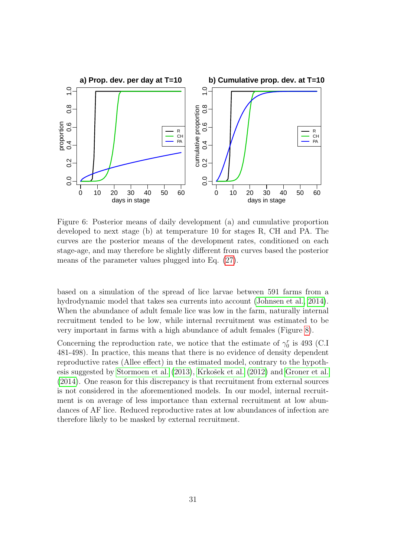

<span id="page-30-0"></span>Figure 6: Posterior means of daily development (a) and cumulative proportion developed to next stage (b) at temperature 10 for stages R, CH and PA. The curves are the posterior means of the development rates, conditioned on each stage-age, and may therefore be slightly different from curves based the posterior means of the parameter values plugged into Eq. [\(27\)](#page-17-1).

based on a simulation of the spread of lice larvae between 591 farms from a hydrodynamic model that takes sea currents into account [\(Johnsen et al., 2014\)](#page-36-10). When the abundance of adult female lice was low in the farm, naturally internal recruitment tended to be low, while internal recruitment was estimated to be very important in farms with a high abundance of adult females (Figure [8\)](#page-32-0).

Concerning the reproduction rate, we notice that the estimate of  $\gamma_0^r$  is 493 (C.I 481-498). In practice, this means that there is no evidence of density dependent reproductive rates (Allee effect) in the estimated model, contrary to the hypoth-esis suggested by [Stormoen et al. \(2013\)](#page-38-4), Krkošek et al. (2012) and [Groner et al.](#page-36-4) [\(2014\)](#page-36-4). One reason for this discrepancy is that recruitment from external sources is not considered in the aforementioned models. In our model, internal recruitment is on average of less importance than external recruitment at low abundances of AF lice. Reduced reproductive rates at low abundances of infection are therefore likely to be masked by external recruitment.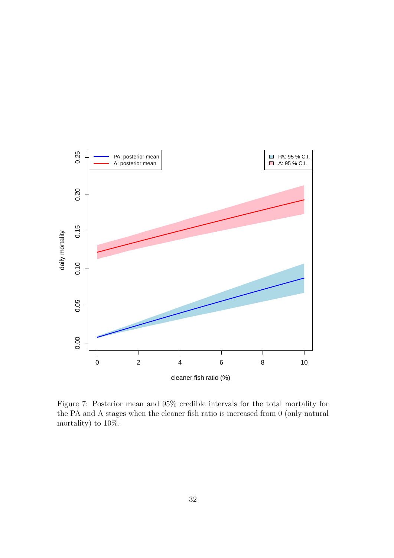

<span id="page-31-0"></span>Figure 7: Posterior mean and 95% credible intervals for the total mortality for the PA and A stages when the cleaner fish ratio is increased from 0 (only natural mortality) to 10%.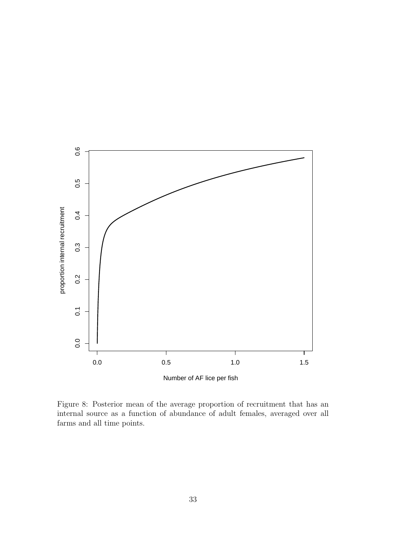

<span id="page-32-0"></span>Figure 8: Posterior mean of the average proportion of recruitment that has an internal source as a function of abundance of adult females, averaged over all farms and all time points.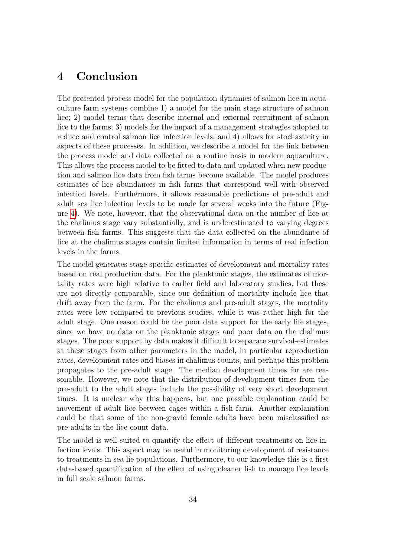# 4 Conclusion

The presented process model for the population dynamics of salmon lice in aquaculture farm systems combine 1) a model for the main stage structure of salmon lice; 2) model terms that describe internal and external recruitment of salmon lice to the farms; 3) models for the impact of a management strategies adopted to reduce and control salmon lice infection levels; and 4) allows for stochasticity in aspects of these processes. In addition, we describe a model for the link between the process model and data collected on a routine basis in modern aquaculture. This allows the process model to be fitted to data and updated when new production and salmon lice data from fish farms become available. The model produces estimates of lice abundances in fish farms that correspond well with observed infection levels. Furthermore, it allows reasonable predictions of pre-adult and adult sea lice infection levels to be made for several weeks into the future (Figure [4\)](#page-24-0). We note, however, that the observational data on the number of lice at the chalimus stage vary substantially, and is underestimated to varying degrees between fish farms. This suggests that the data collected on the abundance of lice at the chalimus stages contain limited information in terms of real infection levels in the farms.

The model generates stage specific estimates of development and mortality rates based on real production data. For the planktonic stages, the estimates of mortality rates were high relative to earlier field and laboratory studies, but these are not directly comparable, since our definition of mortality include lice that drift away from the farm. For the chalimus and pre-adult stages, the mortality rates were low compared to previous studies, while it was rather high for the adult stage. One reason could be the poor data support for the early life stages, since we have no data on the planktonic stages and poor data on the chalimus stages. The poor support by data makes it difficult to separate survival-estimates at these stages from other parameters in the model, in particular reproduction rates, development rates and biases in chalimus counts, and perhaps this problem propagates to the pre-adult stage. The median development times for are reasonable. However, we note that the distribution of development times from the pre-adult to the adult stages include the possibility of very short development times. It is unclear why this happens, but one possible explanation could be movement of adult lice between cages within a fish farm. Another explanation could be that some of the non-gravid female adults have been misclassified as pre-adults in the lice count data.

The model is well suited to quantify the effect of different treatments on lice infection levels. This aspect may be useful in monitoring development of resistance to treatments in sea lie populations. Furthermore, to our knowledge this is a first data-based quantification of the effect of using cleaner fish to manage lice levels in full scale salmon farms.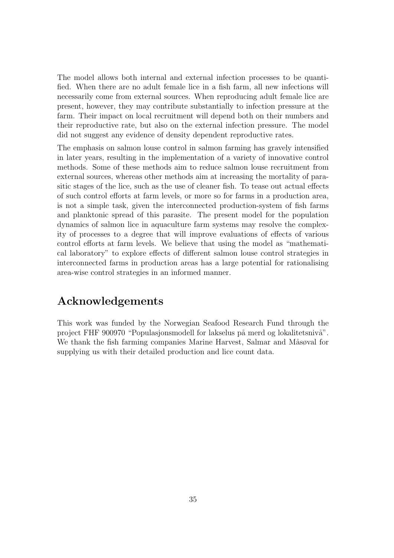The model allows both internal and external infection processes to be quantified. When there are no adult female lice in a fish farm, all new infections will necessarily come from external sources. When reproducing adult female lice are present, however, they may contribute substantially to infection pressure at the farm. Their impact on local recruitment will depend both on their numbers and their reproductive rate, but also on the external infection pressure. The model did not suggest any evidence of density dependent reproductive rates.

The emphasis on salmon louse control in salmon farming has gravely intensified in later years, resulting in the implementation of a variety of innovative control methods. Some of these methods aim to reduce salmon louse recruitment from external sources, whereas other methods aim at increasing the mortality of parasitic stages of the lice, such as the use of cleaner fish. To tease out actual effects of such control efforts at farm levels, or more so for farms in a production area, is not a simple task, given the interconnected production-system of fish farms and planktonic spread of this parasite. The present model for the population dynamics of salmon lice in aquaculture farm systems may resolve the complexity of processes to a degree that will improve evaluations of effects of various control efforts at farm levels. We believe that using the model as "mathematical laboratory" to explore effects of different salmon louse control strategies in interconnected farms in production areas has a large potential for rationalising area-wise control strategies in an informed manner.

# Acknowledgements

This work was funded by the Norwegian Seafood Research Fund through the project FHF 900970 "Populasjonsmodell for lakselus på merd og lokalitetsnivå". We thank the fish farming companies Marine Harvest, Salmar and Måsøval for supplying us with their detailed production and lice count data.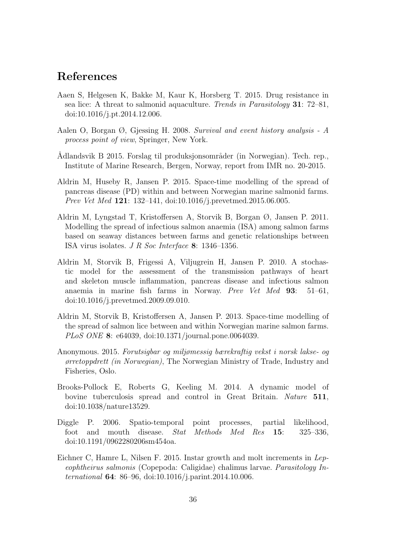# References

- <span id="page-35-8"></span>Aaen S, Helgesen K, Bakke M, Kaur K, Horsberg T. 2015. Drug resistance in sea lice: A threat to salmonid aquaculture. Trends in Parasitology 31: 72–81, doi:10.1016/j.pt.2014.12.006.
- <span id="page-35-7"></span>Aalen O, Borgan  $\emptyset$ , Gjessing H. 2008. Survival and event history analysis - A process point of view, Springer, New York.
- <span id="page-35-10"></span>Ådlandsvik B 2015. Forslag til produksjonsområder (in Norwegian). Tech. rep., Institute of Marine Research, Bergen, Norway, report from IMR no. 20-2015.
- <span id="page-35-6"></span>Aldrin M, Huseby R, Jansen P. 2015. Space-time modelling of the spread of pancreas disease (PD) within and between Norwegian marine salmonid farms. Prev Vet Med 121: 132–141, doi:10.1016/j.prevetmed.2015.06.005.
- <span id="page-35-2"></span>Aldrin M, Lyngstad T, Kristoffersen A, Storvik B, Borgan Ø, Jansen P. 2011. Modelling the spread of infectious salmon anaemia (ISA) among salmon farms based on seaway distances between farms and genetic relationships between ISA virus isolates. J R Soc Interface 8: 1346–1356.
- <span id="page-35-3"></span>Aldrin M, Storvik B, Frigessi A, Viljugrein H, Jansen P. 2010. A stochastic model for the assessment of the transmission pathways of heart and skeleton muscle inflammation, pancreas disease and infectious salmon anaemia in marine fish farms in Norway. Prev Vet Med 93: 51–61, doi:10.1016/j.prevetmed.2009.09.010.
- <span id="page-35-1"></span>Aldrin M, Storvik B, Kristoffersen A, Jansen P. 2013. Space-time modelling of the spread of salmon lice between and within Norwegian marine salmon farms. PLoS ONE 8: e64039, doi:10.1371/journal.pone.0064039.
- <span id="page-35-0"></span>Anonymous. 2015. Forutsigbar og miljømessig bærekraftig vekst i norsk lakse- og ørretoppdrett (in Norwegian), The Norwegian Ministry of Trade, Industry and Fisheries, Oslo.
- <span id="page-35-5"></span>Brooks-Pollock E, Roberts G, Keeling M. 2014. A dynamic model of bovine tuberculosis spread and control in Great Britain. Nature 511, doi:10.1038/nature13529.
- <span id="page-35-4"></span>Diggle P. 2006. Spatio-temporal point processes, partial likelihood, foot and mouth disease. Stat Methods Med Res 15: 325–336, doi:10.1191/0962280206sm454oa.
- <span id="page-35-9"></span>Eichner C, Hamre L, Nilsen F. 2015. Instar growth and molt increments in Lepeophtheirus salmonis (Copepoda: Caligidae) chalimus larvae. Parasitology International 64: 86–96, doi:10.1016/j.parint.2014.10.006.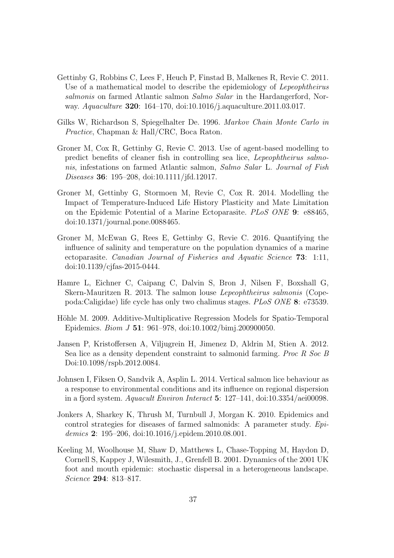- <span id="page-36-5"></span>Gettinby G, Robbins C, Lees F, Heuch P, Finstad B, Malkenes R, Revie C. 2011. Use of a mathematical model to describe the epidemiology of Lepeophtheirus salmonis on farmed Atlantic salmon Salmo Salar in the Hardangerford, Norway. Aquaculture 320: 164–170, doi:10.1016/j.aquaculture.2011.03.017.
- <span id="page-36-9"></span>Gilks W, Richardson S, Spiegelhalter De. 1996. Markov Chain Monte Carlo in Practice, Chapman & Hall/CRC, Boca Raton.
- <span id="page-36-6"></span>Groner M, Cox R, Gettinby G, Revie C. 2013. Use of agent-based modelling to predict benefits of cleaner fish in controlling sea lice, Lepeophtheirus salmonis, infestations on farmed Atlantic salmon, Salmo Salar L. Journal of Fish Diseases 36: 195–208, doi:10.1111/jfd.12017.
- <span id="page-36-4"></span>Groner M, Gettinby G, Stormoen M, Revie C, Cox R. 2014. Modelling the Impact of Temperature-Induced Life History Plasticity and Mate Limitation on the Epidemic Potential of a Marine Ectoparasite. PLoS ONE 9: e88465, doi:10.1371/journal.pone.0088465.
- <span id="page-36-7"></span>Groner M, McEwan G, Rees E, Gettinby G, Revie C. 2016. Quantifying the influence of salinity and temperature on the population dynamics of a marine ectoparasite. Canadian Journal of Fisheries and Aquatic Science 73: 1:11, doi:10.1139/cjfas-2015-0444.
- <span id="page-36-8"></span>Hamre L, Eichner C, Caipang C, Dalvin S, Bron J, Nilsen F, Boxshall G, Skern-Mauritzen R. 2013. The salmon louse Lepeophtheirus salmonis (Copepoda:Caligidae) life cycle has only two chalimus stages. PLoS ONE 8: e73539.
- <span id="page-36-2"></span>Höhle M. 2009. Additive-Multiplicative Regression Models for Spatio-Temporal Epidemics. Biom J 51: 961–978, doi:10.1002/bimj.200900050.
- <span id="page-36-0"></span>Jansen P, Kristoffersen A, Viljugrein H, Jimenez D, Aldrin M, Stien A. 2012. Sea lice as a density dependent constraint to salmonid farming. Proc R Soc B Doi:10.1098/rspb.2012.0084.
- <span id="page-36-10"></span>Johnsen I, Fiksen O, Sandvik A, Asplin L. 2014. Vertical salmon lice behaviour as a response to environmental conditions and its influence on regional dispersion in a fjord system. Aquacult Environ Interact 5: 127–141, doi:10.3354/aei00098.
- <span id="page-36-1"></span>Jonkers A, Sharkey K, Thrush M, Turnbull J, Morgan K. 2010. Epidemics and control strategies for diseases of farmed salmonids: A parameter study. Epidemics 2: 195–206, doi:10.1016/j.epidem.2010.08.001.
- <span id="page-36-3"></span>Keeling M, Woolhouse M, Shaw D, Matthews L, Chase-Topping M, Haydon D, Cornell S, Kappey J, Wilesmith, J., Grenfell B. 2001. Dynamics of the 2001 UK foot and mouth epidemic: stochastic dispersal in a heterogeneous landscape. Science 294: 813–817.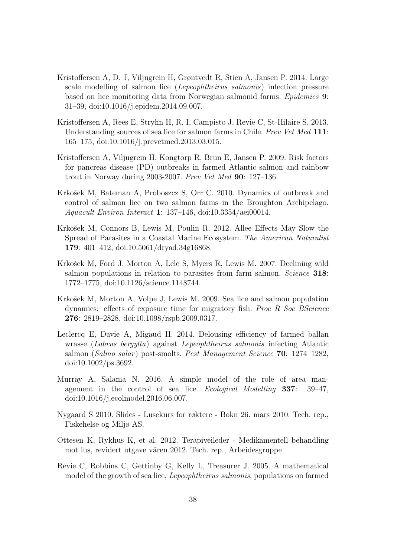- <span id="page-37-0"></span>Kristoffersen A, D. J, Viljugrein H, Grøntvedt R, Stien A, Jansen P. 2014. Large scale modelling of salmon lice (Lepeophtheirus salmonis) infection pressure based on lice monitoring data from Norwegian salmonid farms. Epidemics 9: 31–39, doi:10.1016/j.epidem.2014.09.007.
- <span id="page-37-4"></span>Kristoffersen A, Rees E, Stryhn H, R. I, Campisto J, Revie C, St-Hilaire S. 2013. Understanding sources of sea lice for salmon farms in Chile. Prev Vet Med 111: 165–175, doi:10.1016/j.prevetmed.2013.03.015.
- <span id="page-37-1"></span>Kristoffersen A, Viljugrein H, Kongtorp R, Brun E, Jansen P. 2009. Risk factors for pancreas disease (PD) outbreaks in farmed Atlantic salmon and rainbow trout in Norway during 2003-2007. Prev Vet Med 90: 127–136.
- <span id="page-37-5"></span>Krkošek M, Bateman A, Proboszcz S, Orr C. 2010. Dynamics of outbreak and control of salmon lice on two salmon farms in the Broughton Archipelago. Aquacult Environ Interact 1: 137–146, doi:10.3354/aei00014.
- <span id="page-37-11"></span>Krkošek M, Connors B, Lewis M, Poulin R. 2012. Allee Effects May Slow the Spread of Parasites in a Coastal Marine Ecosystem. The American Naturalist 179: 401–412, doi:10.5061/dryad.34g16868.
- <span id="page-37-2"></span>Krkošek M, Ford J, Morton A, Lele S, Myers R, Lewis M. 2007. Declining wild salmon populations in relation to parasites from farm salmon. Science 318: 1772–1775, doi:10.1126/science.1148744.
- <span id="page-37-7"></span>Krkošek M, Morton A, Volpe J, Lewis M. 2009. Sea lice and salmon population dynamics: effects of exposure time for migratory fish. Proc R Soc BScience 276: 2819–2828, doi:10.1098/rspb.2009.0317.
- <span id="page-37-10"></span>Leclercq E, Davie A, Migaud H. 2014. Delousing efficiency of farmed ballan wrasse (Labrus bergylta) against Lepeophtheirus salmonis infecting Atlantic salmon (Salmo salar) post-smolts. Pest Management Science  $70: 1274-1282$ , doi:10.1002/ps.3692.
- <span id="page-37-3"></span>Murray A, Salama N. 2016. A simple model of the role of area management in the control of sea lice. Ecological Modelling 337: 39–47, doi:10.1016/j.ecolmodel.2016.06.007.
- <span id="page-37-8"></span>Nygaard S 2010. Slides - Lusekurs for røktere - Bokn 26. mars 2010. Tech. rep., Fiskehelse og Miljø AS.
- <span id="page-37-9"></span>Ottesen K, Rykhus K, et al. 2012. Terapiveileder - Medikamentell behandling mot lus, revidert utgave våren 2012. Tech. rep., Arbeidesgruppe.
- <span id="page-37-6"></span>Revie C, Robbins C, Gettinby G, Kelly L, Treasurer J. 2005. A mathematical model of the growth of sea lice, Lepeophtheirus salmonis, populations on farmed